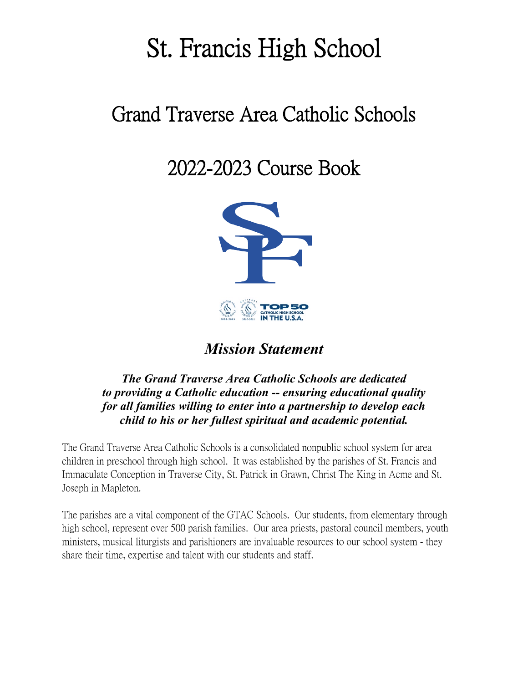# St. Francis High School

# Grand Traverse Area Catholic Schools

2022-2023 Course Book



## *Mission Statement*

## *The Grand Traverse Area Catholic Schools are dedicated to providing a Catholic education -- ensuring educational quality for all families willing to enter into a partnership to develop each child to his or her fullest spiritual and academic potential.*

The Grand Traverse Area Catholic Schools is a consolidated nonpublic school system for area children in preschool through high school. It was established by the parishes of St. Francis and Immaculate Conception in Traverse City, St. Patrick in Grawn, Christ The King in Acme and St. Joseph in Mapleton.

The parishes are a vital component of the GTAC Schools. Our students, from elementary through high school, represent over 500 parish families. Our area priests, pastoral council members, youth ministers, musical liturgists and parishioners are invaluable resources to our school system - they share their time, expertise and talent with our students and staff.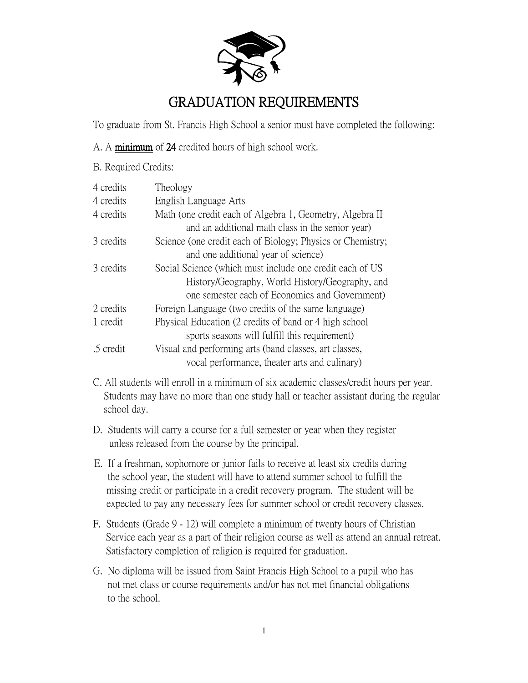

## GRADUATION REQUIREMENTS

To graduate from St. Francis High School a senior must have completed the following:

- A. A minimum of 24 credited hours of high school work.
- B. Required Credits:

| 4 credits | Theology                                                   |
|-----------|------------------------------------------------------------|
| 4 credits | English Language Arts                                      |
| 4 credits | Math (one credit each of Algebra 1, Geometry, Algebra II   |
|           | and an additional math class in the senior year)           |
| 3 credits | Science (one credit each of Biology; Physics or Chemistry; |
|           | and one additional year of science)                        |
| 3 credits | Social Science (which must include one credit each of US   |
|           | History/Geography, World History/Geography, and            |
|           | one semester each of Economics and Government)             |
| 2 credits | Foreign Language (two credits of the same language)        |
| 1 credit  | Physical Education (2 credits of band or 4 high school     |
|           | sports seasons will fulfill this requirement)              |
| .5 credit | Visual and performing arts (band classes, art classes,     |
|           | vocal performance, theater arts and culinary)              |

- C. All students will enroll in a minimum of six academic classes/credit hours per year. Students may have no more than one study hall or teacher assistant during the regular school day.
- D. Students will carry a course for a full semester or year when they register unless released from the course by the principal.
- E. If a freshman, sophomore or junior fails to receive at least six credits during the school year, the student will have to attend summer school to fulfill the missing credit or participate in a credit recovery program. The student will be expected to pay any necessary fees for summer school or credit recovery classes.
- F. Students (Grade 9 12) will complete a minimum of twenty hours of Christian Service each year as a part of their religion course as well as attend an annual retreat. Satisfactory completion of religion is required for graduation.
- G. No diploma will be issued from Saint Francis High School to a pupil who has not met class or course requirements and/or has not met financial obligations to the school.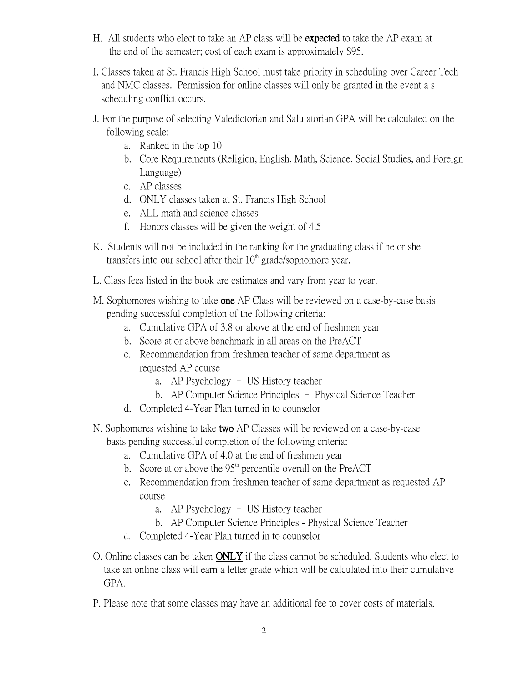- H. All students who elect to take an AP class will be expected to take the AP exam at the end of the semester; cost of each exam is approximately \$95.
- I. Classes taken at St. Francis High School must take priority in scheduling over Career Tech and NMC classes. Permission for online classes will only be granted in the event a s scheduling conflict occurs.
- J. For the purpose of selecting Valedictorian and Salutatorian GPA will be calculated on the following scale:
	- a. Ranked in the top 10
	- b. Core Requirements (Religion, English, Math, Science, Social Studies, and Foreign Language)
	- c. AP classes
	- d. ONLY classes taken at St. Francis High School
	- e. ALL math and science classes
	- f. Honors classes will be given the weight of 4.5
- K. Students will not be included in the ranking for the graduating class if he or she transfers into our school after their  $10<sup>th</sup>$  grade/sophomore year.
- L. Class fees listed in the book are estimates and vary from year to year.
- M. Sophomores wishing to take **one** AP Class will be reviewed on a case-by-case basis pending successful completion of the following criteria:
	- a. Cumulative GPA of 3.8 or above at the end of freshmen year
	- b. Score at or above benchmark in all areas on the PreACT
	- c. Recommendation from freshmen teacher of same department as requested AP course
		- a. AP Psychology US History teacher
		- b. AP Computer Science Principles Physical Science Teacher
	- d. Completed 4-Year Plan turned in to counselor
- N. Sophomores wishing to take two AP Classes will be reviewed on a case-by-case basis pending successful completion of the following criteria:
	- a. Cumulative GPA of 4.0 at the end of freshmen year
	- b. Score at or above the  $95<sup>th</sup>$  percentile overall on the PreACT
	- c. Recommendation from freshmen teacher of same department as requested AP course
		- a. AP Psychology US History teacher
		- b. AP Computer Science Principles Physical Science Teacher
	- d. Completed 4-Year Plan turned in to counselor
- O. Online classes can be taken ONLY if the class cannot be scheduled. Students who elect to take an online class will earn a letter grade which will be calculated into their cumulative GPA.
- P. Please note that some classes may have an additional fee to cover costs of materials.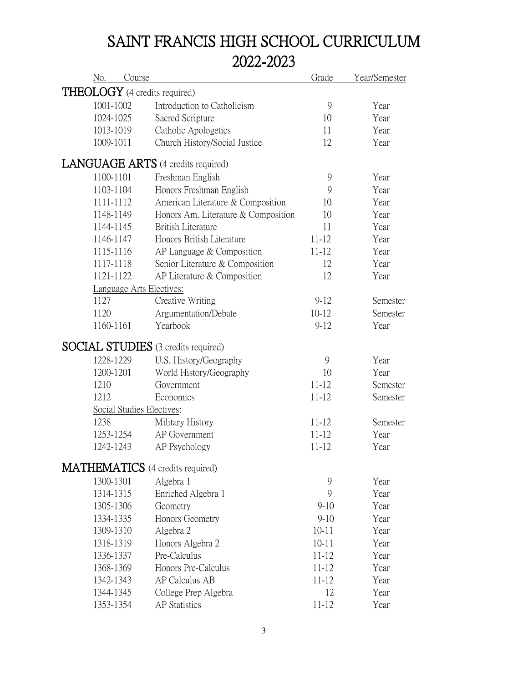# SAINT FRANCIS HIGH SCHOOL CURRICULUM 2022-2023

| No.<br>Course                           |                                            | Grade         | Year/Semester |
|-----------------------------------------|--------------------------------------------|---------------|---------------|
| <b>THEOLOGY</b> (4 credits required)    |                                            |               |               |
| 1001-1002                               | Introduction to Catholicism                | 9             | Year          |
| 1024-1025                               | Sacred Scripture                           | 10            | Year          |
| 1013-1019                               | Catholic Apologetics                       | 11            | Year          |
| 1009-1011                               | Church History/Social Justice              | 12            | Year          |
|                                         | <b>LANGUAGE ARTS</b> (4 credits required)  |               |               |
| 1100-1101                               | Freshman English                           | 9             | Year          |
| 1103-1104                               | Honors Freshman English                    | 9             | Year          |
| 1111-1112                               | American Literature & Composition          | 10            | Year          |
| 1148-1149                               | Honors Am. Literature & Composition        | 10            | Year          |
| 1144-1145                               | <b>British Literature</b>                  | 11            | Year          |
| 1146-1147                               | Honors British Literature                  | $11 - 12$     | Year          |
| 1115-1116                               | AP Language $&$ Composition                | $11 - 12$     | Year          |
| 1117-1118                               | Senior Literature & Composition            | 12            | Year          |
| 1121-1122                               | AP Literature & Composition                | 12            | Year          |
| Language Arts Electives:                |                                            |               |               |
| 1127                                    | Creative Writing                           | $9 - 12$      | Semester      |
| 1120                                    | Argumentation/Debate                       | $10 - 12$     | Semester      |
| 1160-1161                               | Yearbook                                   | $9 - 12$      | Year          |
|                                         | <b>SOCIAL STUDIES</b> (3 credits required) |               |               |
| 1228-1229                               | U.S. History/Geography                     | 9             | Year          |
| 1200-1201                               | World History/Geography                    | 10            | Year          |
| 1210                                    | Government                                 | $11 - 12$     | Semester      |
| 1212                                    | Economics                                  | $11 - 12$     | Semester      |
| Social Studies Electives:               |                                            |               |               |
| 1238                                    | Military History                           | $11 - 12$     | Semester      |
| 1253-1254                               | AP Government                              | $11 - 12$     | Year          |
| 1242-1243                               | AP Psychology                              | $11 - 12$     | Year          |
| <b>MATHEMATICS</b> (4 credits required) |                                            |               |               |
| 1300-1301                               | Algebra 1                                  | $\mathcal{G}$ | Year          |
| 1314-1315                               | Enriched Algebra 1                         | 9             | Year          |
| 1305-1306                               | Geometry                                   | $9-10$        | Year          |
| 1334-1335                               | Honors Geometry                            | $9 - 10$      | Year          |
| 1309-1310                               | Algebra 2                                  | $10 - 11$     | Year          |
| 1318-1319                               | Honors Algebra 2                           | $10 - 11$     | Year          |
| 1336-1337                               | Pre-Calculus                               | $11 - 12$     | Year          |
| 1368-1369                               | Honors Pre-Calculus                        | $11 - 12$     | Year          |
| 1342-1343                               | AP Calculus AB                             | $11 - 12$     | Year          |
| 1344-1345                               | College Prep Algebra                       | 12            | Year          |
| 1353-1354                               | <b>AP</b> Statistics                       | $11 - 12$     | Year          |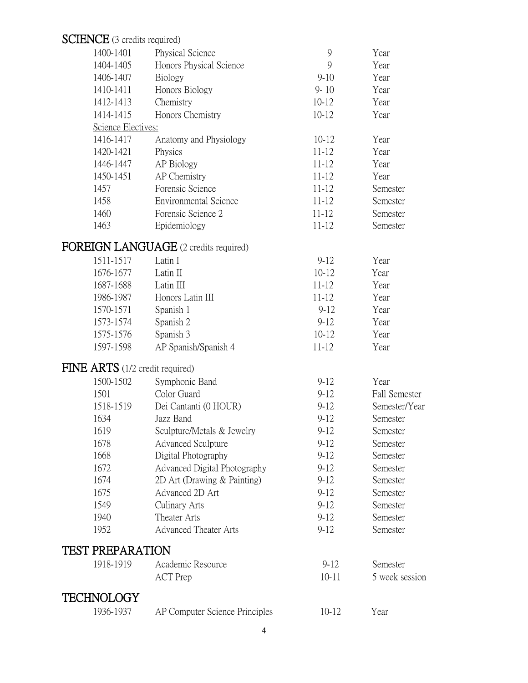# SCIENCE (3 credits required)

| 1400-1401                                           | Physical Science                      | 9                      | Year                 |
|-----------------------------------------------------|---------------------------------------|------------------------|----------------------|
| 1404-1405                                           | Honors Physical Science               | 9                      | Year                 |
| 1406-1407                                           | Biology                               | $9 - 10$               | Year                 |
| 1410-1411                                           | Honors Biology                        | $9 - 10$               | Year                 |
| 1412-1413                                           | Chemistry                             | $10 - 12$              | Year                 |
| 1414-1415                                           | Honors Chemistry                      | $10 - 12$              | Year                 |
| Science Electives:                                  |                                       |                        |                      |
| 1416-1417                                           | Anatomy and Physiology                | $10 - 12$              | Year                 |
| 1420-1421                                           | Physics                               | $11 - 12$              | Year                 |
| 1446-1447                                           | AP Biology                            | $11 - 12$              | Year                 |
| 1450-1451                                           | AP Chemistry                          | $11 - 12$              | Year                 |
| 1457                                                | Forensic Science                      | $11 - 12$              | Semester             |
| 1458                                                | <b>Environmental Science</b>          | $11 - 12$              | Semester             |
| 1460                                                | Forensic Science 2                    | $11 - 12$              | Semester             |
| 1463                                                | Epidemiology                          | $11 - 12$              | Semester             |
|                                                     | FOREIGN LANGUAGE (2 credits required) |                        |                      |
|                                                     | Latin I                               |                        | Year                 |
| 1511-1517                                           | Latin II                              | $9 - 12$<br>$10 - 12$  | Year                 |
| 1676-1677                                           | Latin III                             |                        |                      |
| 1687-1688                                           |                                       | $11 - 12$              | Year                 |
| 1986-1987                                           | Honors Latin III                      | $11 - 12$              | Year                 |
| 1570-1571                                           | Spanish 1                             | $9-12$                 | Year                 |
| 1573-1574                                           | Spanish 2                             | $9 - 12$               | Year                 |
| 1575-1576<br>1597-1598                              | Spanish 3                             | $10 - 12$<br>$11 - 12$ | Year<br>Year         |
|                                                     | AP Spanish/Spanish 4                  |                        |                      |
| $\overline{\text{FINE}}$ ARTS (1/2 credit required) |                                       |                        |                      |
| 1500-1502                                           | Symphonic Band                        | $9 - 12$               | Year                 |
| 1501                                                | Color Guard                           | $9 - 12$               | <b>Fall Semester</b> |
| 1518-1519                                           | Dei Cantanti (0 HOUR)                 | $9 - 12$               | Semester/Year        |
| 1634                                                | Jazz Band                             | $9 - 12$               | Semester             |
| 1619                                                | Sculpture/Metals & Jewelry            | $9 - 12$               | Semester             |
| 1678                                                | <b>Advanced Sculpture</b>             | $9 - 12$               | Semester             |
| 1668                                                | Digital Photography                   | $9 - 12$               | Semester             |
| 1672                                                | Advanced Digital Photography          | $9 - 12$               | Semester             |
| 1674                                                | 2D Art (Drawing & Painting)           | $9 - 12$               | Semester             |
| 1675                                                | Advanced 2D Art                       | $9-12$                 | Semester             |
| 1549                                                | Culinary Arts                         | $9 - 12$               | Semester             |
| 1940                                                | Theater Arts                          | $9 - 12$               | Semester             |
| 1952                                                | <b>Advanced Theater Arts</b>          | $9 - 12$               | Semester             |
| TEST PREPARATION                                    |                                       |                        |                      |
| 1918-1919                                           | Academic Resource                     | $9 - 12$               | Semester             |
|                                                     | <b>ACT</b> Prep                       | $10 - 11$              | 5 week session       |
|                                                     |                                       |                        |                      |
| TECHNOLOGY                                          |                                       |                        |                      |
| 1936-1937                                           | AP Computer Science Principles        | $10 - 12$              | Year                 |
|                                                     |                                       |                        |                      |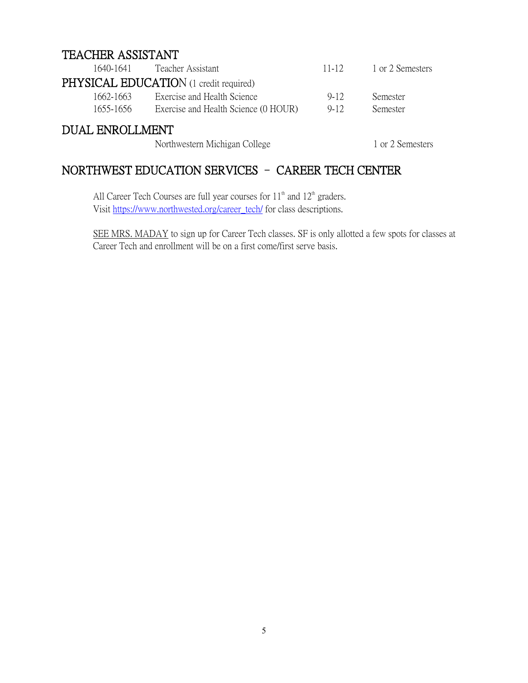## TEACHER ASSISTANT

| 1640-1641              | Teacher Assistant                             | $11-12$  | 1 or 2 Semesters |
|------------------------|-----------------------------------------------|----------|------------------|
|                        | <b>PHYSICAL EDUCATION</b> (1 credit required) |          |                  |
| 1662-1663              | Exercise and Health Science                   | $9 - 12$ | <b>Semester</b>  |
| 1655-1656              | Exercise and Health Science (0 HOUR)          | $9-12$   | <b>Semester</b>  |
| <b>DUAL ENROLLMENT</b> |                                               |          |                  |
|                        | Northwestern Michigan College                 |          | 1 or 2 Semesters |

## NORTHWEST EDUCATION SERVICES – CAREER TECH CENTER

All Career Tech Courses are full year courses for  $11<sup>th</sup>$  and  $12<sup>th</sup>$  graders. Visit https://www.northwested.org/career\_tech/ for class descriptions.

SEE MRS. MADAY to sign up for Career Tech classes. SF is only allotted a few spots for classes at Career Tech and enrollment will be on a first come/first serve basis.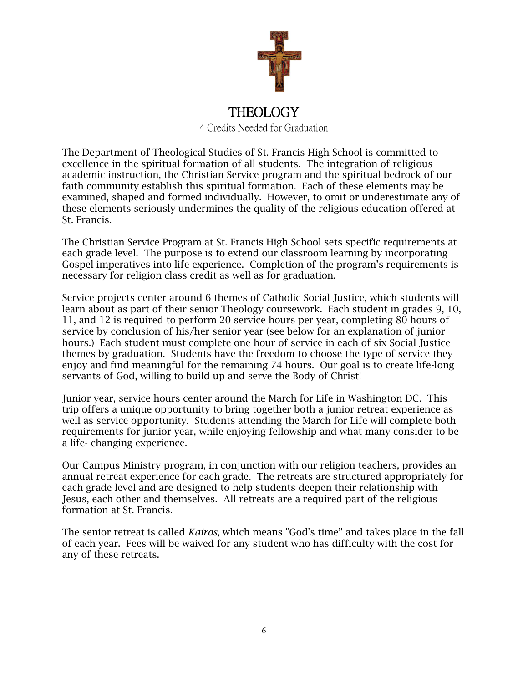

## THEOLOGY

4 Credits Needed for Graduation

The Department of Theological Studies of St. Francis High School is committed to excellence in the spiritual formation of all students. The integration of religious academic instruction, the Christian Service program and the spiritual bedrock of our faith community establish this spiritual formation. Each of these elements may be examined, shaped and formed individually. However, to omit or underestimate any of these elements seriously undermines the quality of the religious education offered at St. Francis.

The Christian Service Program at St. Francis High School sets specific requirements at each grade level. The purpose is to extend our classroom learning by incorporating Gospel imperatives into life experience. Completion of the program's requirements is necessary for religion class credit as well as for graduation.

Service projects center around 6 themes of Catholic Social Justice, which students will learn about as part of their senior Theology coursework. Each student in grades 9, 10, 11, and 12 is required to perform 20 service hours per year, completing 80 hours of service by conclusion of his/her senior year (see below for an explanation of junior hours.) Each student must complete one hour of service in each of six Social Justice themes by graduation. Students have the freedom to choose the type of service they enjoy and find meaningful for the remaining 74 hours. Our goal is to create life-long servants of God, willing to build up and serve the Body of Christ!

Junior year, service hours center around the March for Life in Washington DC. This trip offers a unique opportunity to bring together both a junior retreat experience as well as service opportunity. Students attending the March for Life will complete both requirements for junior year, while enjoying fellowship and what many consider to be a life- changing experience.

Our Campus Ministry program, in conjunction with our religion teachers, provides an annual retreat experience for each grade. The retreats are structured appropriately for each grade level and are designed to help students deepen their relationship with Jesus, each other and themselves. All retreats are a required part of the religious formation at St. Francis.

The senior retreat is called *Kairos*, which means "God's time" and takes place in the fall of each year. Fees will be waived for any student who has difficulty with the cost for any of these retreats.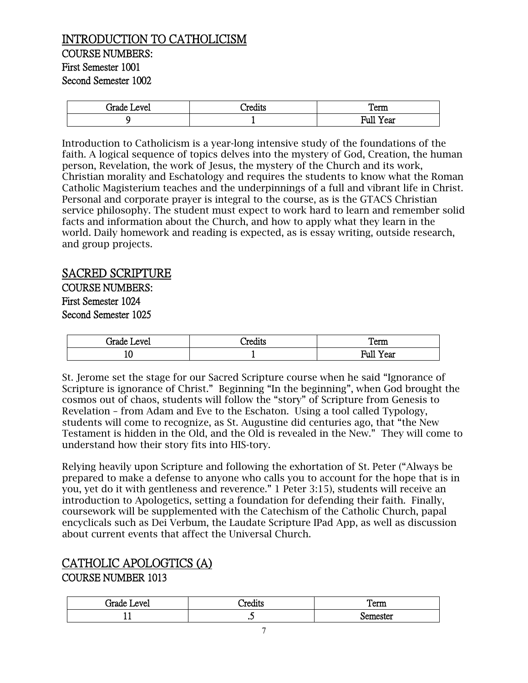## INTRODUCTION TO CATHOLICISM COURSE NUMBERS: First Semester 1001 Second Semester 1002

| irade<br>evel | $\bullet$<br>'rec<br>്ധ്ധ | Term                              |
|---------------|---------------------------|-----------------------------------|
|               |                           | $\sim$ $\sim$<br>Full<br>ear<br>- |

Introduction to Catholicism is a year-long intensive study of the foundations of the faith. A logical sequence of topics delves into the mystery of God, Creation, the human person, Revelation, the work of Jesus, the mystery of the Church and its work, Christian morality and Eschatology and requires the students to know what the Roman Catholic Magisterium teaches and the underpinnings of a full and vibrant life in Christ. Personal and corporate prayer is integral to the course, as is the GTACS Christian service philosophy. The student must expect to work hard to learn and remember solid facts and information about the Church, and how to apply what they learn in the world. Daily homework and reading is expected, as is essay writing, outside research, and group projects.

## SACRED SCRIPTURE

COURSE NUMBERS: First Semester 1024 Second Semester 1025

| Grade Level | $\cdots$<br>'woolsta<br>eqits | _<br>Term               |
|-------------|-------------------------------|-------------------------|
| ⊥ν<br>- -   |                               | Full<br>$-$<br>ear<br>- |

St. Jerome set the stage for our Sacred Scripture course when he said "Ignorance of Scripture is ignorance of Christ." Beginning "In the beginning", when God brought the cosmos out of chaos, students will follow the "story" of Scripture from Genesis to Revelation – from Adam and Eve to the Eschaton. Using a tool called Typology, students will come to recognize, as St. Augustine did centuries ago, that "the New Testament is hidden in the Old, and the Old is revealed in the New." They will come to understand how their story fits into HIS-tory.

Relying heavily upon Scripture and following the exhortation of St. Peter ("Always be prepared to make a defense to anyone who calls you to account for the hope that is in you, yet do it with gentleness and reverence." 1 Peter 3:15), students will receive an introduction to Apologetics, setting a foundation for defending their faith. Finally, coursework will be supplemented with the Catechism of the Catholic Church, papal encyclicals such as Dei Verbum, the Laudate Scripture IPad App, as well as discussion about current events that affect the Universal Church.

## CATHOLIC APOLOGTICS (A)

#### COURSE NUMBER 1013

| است جانبا ا<br>ATP<br>▾◡ェ | `•≏∩<br>. . | $\sim$<br>сиш |
|---------------------------|-------------|---------------|
| --                        | ں ہ         | cter:<br>nΑ   |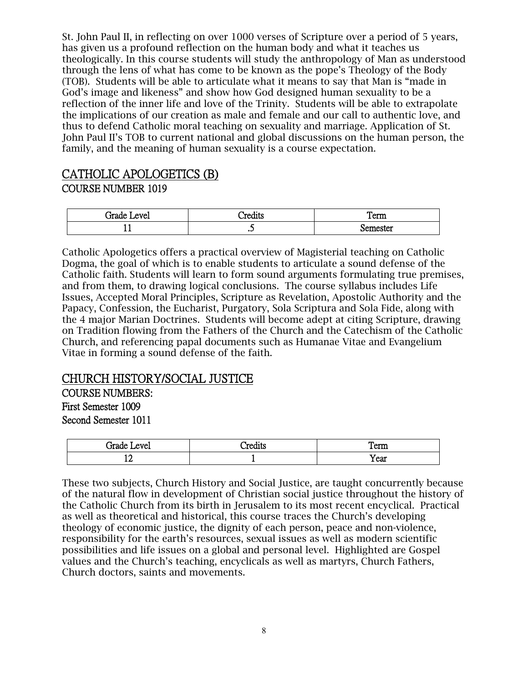St. John Paul II, in reflecting on over 1000 verses of Scripture over a period of 5 years, has given us a profound reflection on the human body and what it teaches us theologically. In this course students will study the anthropology of Man as understood through the lens of what has come to be known as the pope's Theology of the Body (TOB). Students will be able to articulate what it means to say that Man is "made in God's image and likeness" and show how God designed human sexuality to be a reflection of the inner life and love of the Trinity. Students will be able to extrapolate the implications of our creation as male and female and our call to authentic love, and thus to defend Catholic moral teaching on sexuality and marriage. Application of St. John Paul II's TOB to current national and global discussions on the human person, the family, and the meaning of human sexuality is a course expectation.

## CATHOLIC APOLOGETICS (B) COURSE NUMBER 1019

| evel<br>irade | `red1ts<br>www | m<br>$^{\circ}$ $\sim$ $\sim$ $\sim$<br>TCIIII |
|---------------|----------------|------------------------------------------------|
| --            | $\cdot$        | emester .                                      |

Catholic Apologetics offers a practical overview of Magisterial teaching on Catholic Dogma, the goal of which is to enable students to articulate a sound defense of the Catholic faith. Students will learn to form sound arguments formulating true premises, and from them, to drawing logical conclusions. The course syllabus includes Life Issues, Accepted Moral Principles, Scripture as Revelation, Apostolic Authority and the Papacy, Confession, the Eucharist, Purgatory, Sola Scriptura and Sola Fide, along with the 4 major Marian Doctrines. Students will become adept at citing Scripture, drawing on Tradition flowing from the Fathers of the Church and the Catechism of the Catholic Church, and referencing papal documents such as Humanae Vitae and Evangelium Vitae in forming a sound defense of the faith.

## CHURCH HISTORY/SOCIAL JUSTICE

COURSE NUMBERS: First Semester 1009

Second Semester 1011

| irade<br>evel | $\cdot$<br><b><i><u>AAAA</u></i></b><br>uuus | _<br>Term |
|---------------|----------------------------------------------|-----------|
| ∸∸<br>--      |                                              | Year      |

These two subjects, Church History and Social Justice, are taught concurrently because of the natural flow in development of Christian social justice throughout the history of the Catholic Church from its birth in Jerusalem to its most recent encyclical. Practical as well as theoretical and historical, this course traces the Church's developing theology of economic justice, the dignity of each person, peace and non-violence, responsibility for the earth's resources, sexual issues as well as modern scientific possibilities and life issues on a global and personal level. Highlighted are Gospel values and the Church's teaching, encyclicals as well as martyrs, Church Fathers, Church doctors, saints and movements.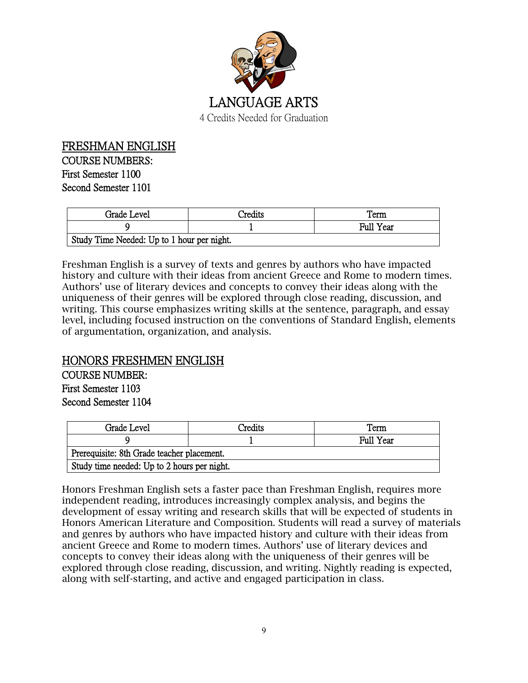

FRESHMAN ENGLISH COURSE NUMBERS: First Semester 1100 Second Semester 1101

| Grade Level                                | Credits | l'erm            |  |  |
|--------------------------------------------|---------|------------------|--|--|
|                                            |         | <b>Full Year</b> |  |  |
| Study Time Needed: Up to 1 hour per night. |         |                  |  |  |

Freshman English is a survey of texts and genres by authors who have impacted history and culture with their ideas from ancient Greece and Rome to modern times. Authors' use of literary devices and concepts to convey their ideas along with the uniqueness of their genres will be explored through close reading, discussion, and writing. This course emphasizes writing skills at the sentence, paragraph, and essay level, including focused instruction on the conventions of Standard English, elements of argumentation, organization, and analysis.

## HONORS FRESHMEN ENGLISH

COURSE NUMBER: First Semester 1103 Second Semester 1104

| Grade Level                                 | Credits | Term      |  |  |
|---------------------------------------------|---------|-----------|--|--|
|                                             |         | Full Year |  |  |
| Prerequisite: 8th Grade teacher placement.  |         |           |  |  |
| Study time needed: Up to 2 hours per night. |         |           |  |  |

Honors Freshman English sets a faster pace than Freshman English, requires more independent reading, introduces increasingly complex analysis, and begins the development of essay writing and research skills that will be expected of students in Honors American Literature and Composition. Students will read a survey of materials and genres by authors who have impacted history and culture with their ideas from ancient Greece and Rome to modern times. Authors' use of literary devices and concepts to convey their ideas along with the uniqueness of their genres will be explored through close reading, discussion, and writing. Nightly reading is expected, along with self-starting, and active and engaged participation in class.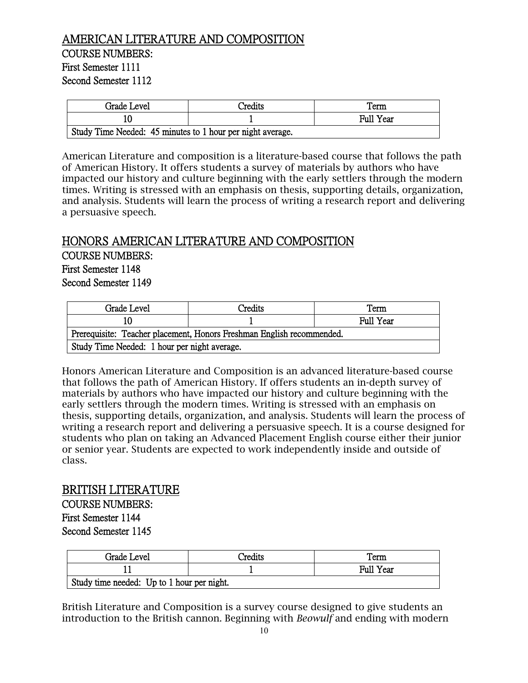## AMERICAN LITERATURE AND COMPOSITION COURSE NUMBERS: First Semester 1111 Second Semester 1112

| Grade Level                                                | Credits | l'erm            |  |
|------------------------------------------------------------|---------|------------------|--|
|                                                            |         | <b>Full Year</b> |  |
| Study Time Needed: 45 minutes to 1 hour per night average. |         |                  |  |

American Literature and composition is a literature-based course that follows the path of American History. It offers students a survey of materials by authors who have impacted our history and culture beginning with the early settlers through the modern times. Writing is stressed with an emphasis on thesis, supporting details, organization, and analysis. Students will learn the process of writing a research report and delivering a persuasive speech.

#### HONORS AMERICAN LITERATURE AND COMPOSITION

COURSE NUMBERS: First Semester 1148 Second Semester 1149

| Grade Level                                                           | Credits | Term      |
|-----------------------------------------------------------------------|---------|-----------|
| 10                                                                    |         | Full Year |
| Prerequisite: Teacher placement, Honors Freshman English recommended. |         |           |
| Study Time Needed: 1 hour per night average.                          |         |           |

Honors American Literature and Composition is an advanced literature-based course that follows the path of American History. If offers students an in-depth survey of materials by authors who have impacted our history and culture beginning with the early settlers through the modern times. Writing is stressed with an emphasis on thesis, supporting details, organization, and analysis. Students will learn the process of writing a research report and delivering a persuasive speech. It is a course designed for students who plan on taking an Advanced Placement English course either their junior or senior year. Students are expected to work independently inside and outside of class.

#### BRITISH LITERATURE

COURSE NUMBERS: First Semester 1144 Second Semester 1145

| Grade Level                                | Credits | Term             |
|--------------------------------------------|---------|------------------|
|                                            |         | <b>Full Year</b> |
| Study time needed: Up to 1 hour per night. |         |                  |

British Literature and Composition is a survey course designed to give students an introduction to the British cannon. Beginning with *Beowulf* and ending with modern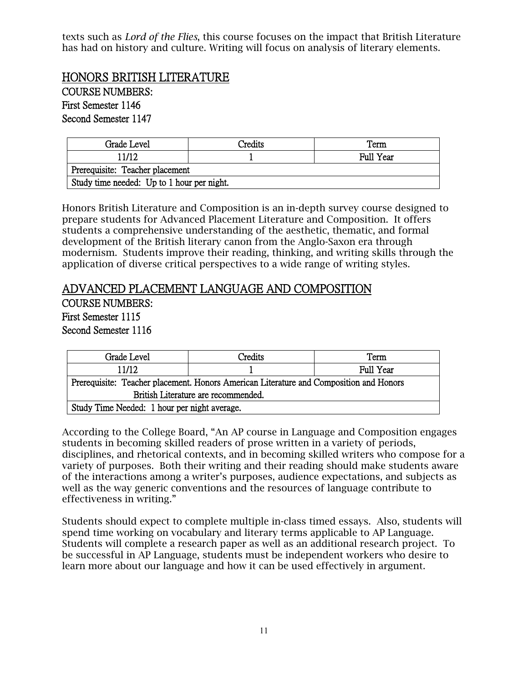texts such as *Lord of the Flies*, this course focuses on the impact that British Literature has had on history and culture. Writing will focus on analysis of literary elements.

HONORS BRITISH LITERATURE COURSE NUMBERS:

First Semester 1146

Second Semester 1147

| Grade Level                                | Predits | Term      |
|--------------------------------------------|---------|-----------|
| 11/12                                      |         | Full Year |
| Prerequisite: Teacher placement            |         |           |
| Study time needed: Up to 1 hour per night. |         |           |

Honors British Literature and Composition is an in-depth survey course designed to prepare students for Advanced Placement Literature and Composition. It offers students a comprehensive understanding of the aesthetic, thematic, and formal development of the British literary canon from the Anglo-Saxon era through modernism. Students improve their reading, thinking, and writing skills through the application of diverse critical perspectives to a wide range of writing styles.

#### ADVANCED PLACEMENT LANGUAGE AND COMPOSITION

COURSE NUMBERS:

First Semester 1115

Second Semester 1116

| Grade Level                                                                            | Credits | Term      |
|----------------------------------------------------------------------------------------|---------|-----------|
| 11/12                                                                                  |         | Full Year |
| Prerequisite: Teacher placement. Honors American Literature and Composition and Honors |         |           |
| British Literature are recommended.                                                    |         |           |
| Study Time Needed: 1 hour per night average.                                           |         |           |

According to the College Board, "An AP course in Language and Composition engages students in becoming skilled readers of prose written in a variety of periods, disciplines, and rhetorical contexts, and in becoming skilled writers who compose for a variety of purposes. Both their writing and their reading should make students aware of the interactions among a writer's purposes, audience expectations, and subjects as well as the way generic conventions and the resources of language contribute to effectiveness in writing."

Students should expect to complete multiple in-class timed essays. Also, students will spend time working on vocabulary and literary terms applicable to AP Language. Students will complete a research paper as well as an additional research project. To be successful in AP Language, students must be independent workers who desire to learn more about our language and how it can be used effectively in argument.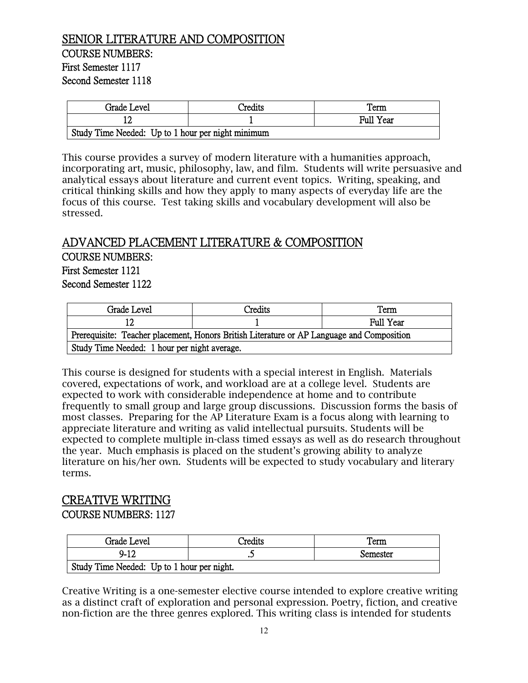## SENIOR LITERATURE AND COMPOSITION COURSE NUMBERS: First Semester 1117 Second Semester 1118

| Grade Level                                       | Credits | Term             |
|---------------------------------------------------|---------|------------------|
| 12                                                |         | <b>Full Year</b> |
| Study Time Needed: Up to 1 hour per night minimum |         |                  |

This course provides a survey of modern literature with a humanities approach, incorporating art, music, philosophy, law, and film. Students will write persuasive and analytical essays about literature and current event topics. Writing, speaking, and critical thinking skills and how they apply to many aspects of everyday life are the focus of this course. Test taking skills and vocabulary development will also be stressed.

## ADVANCED PLACEMENT LITERATURE & COMPOSITION COURSE NUMBERS:

First Semester 1121 Second Semester 1122

| Grade Level                                                                               | Credits | Term      |
|-------------------------------------------------------------------------------------------|---------|-----------|
|                                                                                           |         | Full Year |
| Prerequisite: Teacher placement, Honors British Literature or AP Language and Composition |         |           |
| Study Time Needed: 1 hour per night average.                                              |         |           |

This course is designed for students with a special interest in English. Materials covered, expectations of work, and workload are at a college level. Students are expected to work with considerable independence at home and to contribute frequently to small group and large group discussions. Discussion forms the basis of most classes. Preparing for the AP Literature Exam is a focus along with learning to appreciate literature and writing as valid intellectual pursuits. Students will be expected to complete multiple in-class timed essays as well as do research throughout the year. Much emphasis is placed on the student's growing ability to analyze literature on his/her own. Students will be expected to study vocabulary and literary terms.

# CREATIVE WRITING

COURSE NUMBERS: 1127

| Grade Level                                | `redits | Term     |
|--------------------------------------------|---------|----------|
| $9 - 12$                                   |         | Semester |
| Study Time Needed: Up to 1 hour per night. |         |          |

Creative Writing is a one-semester elective course intended to explore creative writing as a distinct craft of exploration and personal expression. Poetry, fiction, and creative non-fiction are the three genres explored. This writing class is intended for students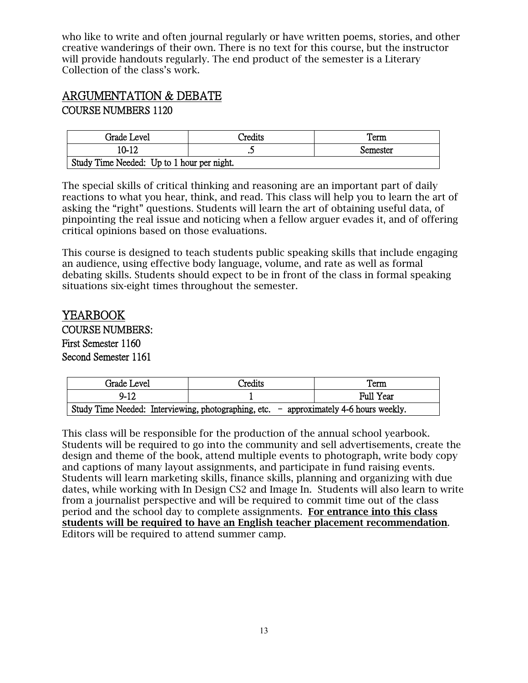who like to write and often journal regularly or have written poems, stories, and other creative wanderings of their own. There is no text for this course, but the instructor will provide handouts regularly. The end product of the semester is a Literary Collection of the class's work.

## ARGUMENTATION & DEBATE COURSE NUMBERS 1120

| Grade Level                                | `redits | Term     |
|--------------------------------------------|---------|----------|
| 10-12                                      | سە      | Semester |
| Study Time Needed: Up to 1 hour per night. |         |          |

The special skills of critical thinking and reasoning are an important part of daily reactions to what you hear, think, and read. This class will help you to learn the art of asking the "right" questions. Students will learn the art of obtaining useful data, of pinpointing the real issue and noticing when a fellow arguer evades it, and of offering critical opinions based on those evaluations.

This course is designed to teach students public speaking skills that include engaging an audience, using effective body language, volume, and rate as well as formal debating skills. Students should expect to be in front of the class in formal speaking situations six-eight times throughout the semester.

#### YEARBOOK

COURSE NUMBERS: First Semester 1160 Second Semester 1161

| Grade Level                                                                              | Credits | Term      |
|------------------------------------------------------------------------------------------|---------|-----------|
| $9-12$                                                                                   |         | Full Year |
| Study Time Needed: Interviewing, photographing, etc. $-$ approximately 4-6 hours weekly. |         |           |

This class will be responsible for the production of the annual school yearbook. Students will be required to go into the community and sell advertisements, create the design and theme of the book, attend multiple events to photograph, write body copy and captions of many layout assignments, and participate in fund raising events. Students will learn marketing skills, finance skills, planning and organizing with due dates, while working with In Design CS2 and Image In. Students will also learn to write from a journalist perspective and will be required to commit time out of the class period and the school day to complete assignments. For entrance into this class students will be required to have an English teacher placement recommendation. Editors will be required to attend summer camp.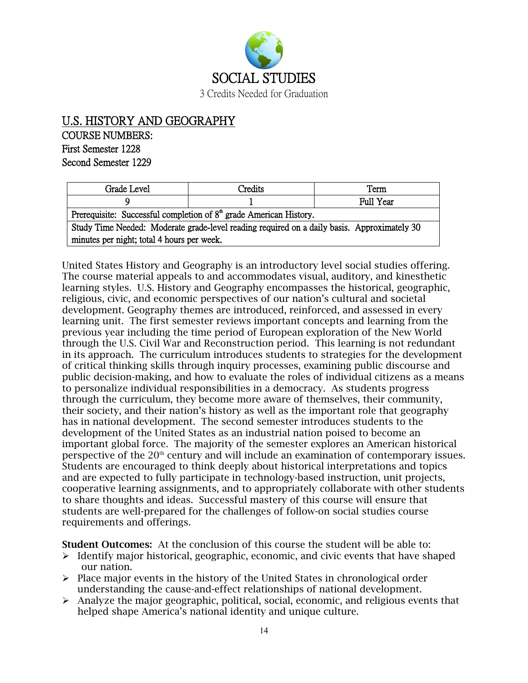

## U.S. HISTORY AND GEOGRAPHY COURSE NUMBERS: First Semester 1228 Second Semester 1229

| Grade Level                                                                                 | Credits | Term      |
|---------------------------------------------------------------------------------------------|---------|-----------|
|                                                                                             |         | Full Year |
| Prerequisite: Successful completion of $8th$ grade American History.                        |         |           |
| Study Time Needed: Moderate grade-level reading required on a daily basis. Approximately 30 |         |           |
| minutes per night; total 4 hours per week.                                                  |         |           |

United States History and Geography is an introductory level social studies offering. The course material appeals to and accommodates visual, auditory, and kinesthetic learning styles. U.S. History and Geography encompasses the historical, geographic, religious, civic, and economic perspectives of our nation's cultural and societal development. Geography themes are introduced, reinforced, and assessed in every learning unit. The first semester reviews important concepts and learning from the previous year including the time period of European exploration of the New World through the U.S. Civil War and Reconstruction period. This learning is not redundant in its approach. The curriculum introduces students to strategies for the development of critical thinking skills through inquiry processes, examining public discourse and public decision-making, and how to evaluate the roles of individual citizens as a means to personalize individual responsibilities in a democracy. As students progress through the curriculum, they become more aware of themselves, their community, their society, and their nation's history as well as the important role that geography has in national development. The second semester introduces students to the development of the United States as an industrial nation poised to become an important global force. The majority of the semester explores an American historical perspective of the 20<sup>th</sup> century and will include an examination of contemporary issues. Students are encouraged to think deeply about historical interpretations and topics and are expected to fully participate in technology-based instruction, unit projects, cooperative learning assignments, and to appropriately collaborate with other students to share thoughts and ideas. Successful mastery of this course will ensure that students are well-prepared for the challenges of follow-on social studies course requirements and offerings.

Student Outcomes: At the conclusion of this course the student will be able to:

- $\triangleright$  Identify major historical, geographic, economic, and civic events that have shaped our nation.
- $\triangleright$  Place major events in the history of the United States in chronological order understanding the cause-and-effect relationships of national development.
- $\triangleright$  Analyze the major geographic, political, social, economic, and religious events that helped shape America's national identity and unique culture.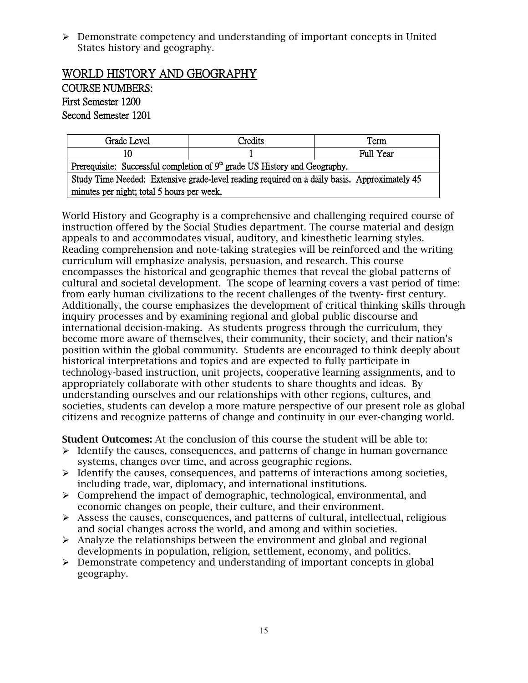$\triangleright$  Demonstrate competency and understanding of important concepts in United States history and geography.

## WORLD HISTORY AND GEOGRAPHY

COURSE NUMBERS: First Semester 1200 Second Semester 1201

| Grade Level                                                                                  | Credits | Term      |
|----------------------------------------------------------------------------------------------|---------|-----------|
| 10                                                                                           |         | Full Year |
| Prerequisite: Successful completion of $9th$ grade US History and Geography.                 |         |           |
| Study Time Needed: Extensive grade-level reading required on a daily basis. Approximately 45 |         |           |
| minutes per night; total 5 hours per week.                                                   |         |           |

World History and Geography is a comprehensive and challenging required course of instruction offered by the Social Studies department. The course material and design appeals to and accommodates visual, auditory, and kinesthetic learning styles. Reading comprehension and note-taking strategies will be reinforced and the writing curriculum will emphasize analysis, persuasion, and research. This course encompasses the historical and geographic themes that reveal the global patterns of cultural and societal development. The scope of learning covers a vast period of time: from early human civilizations to the recent challenges of the twenty- first century. Additionally, the course emphasizes the development of critical thinking skills through inquiry processes and by examining regional and global public discourse and international decision-making. As students progress through the curriculum, they become more aware of themselves, their community, their society, and their nation's position within the global community. Students are encouraged to think deeply about historical interpretations and topics and are expected to fully participate in technology-based instruction, unit projects, cooperative learning assignments, and to appropriately collaborate with other students to share thoughts and ideas. By understanding ourselves and our relationships with other regions, cultures, and societies, students can develop a more mature perspective of our present role as global citizens and recognize patterns of change and continuity in our ever-changing world.

Student Outcomes: At the conclusion of this course the student will be able to:

- $\triangleright$  Identify the causes, consequences, and patterns of change in human governance systems, changes over time, and across geographic regions.
- $\triangleright$  Identify the causes, consequences, and patterns of interactions among societies, including trade, war, diplomacy, and international institutions.
- $\triangleright$  Comprehend the impact of demographic, technological, environmental, and economic changes on people, their culture, and their environment.
- $\triangleright$  Assess the causes, consequences, and patterns of cultural, intellectual, religious and social changes across the world, and among and within societies.
- $\triangleright$  Analyze the relationships between the environment and global and regional developments in population, religion, settlement, economy, and politics.
- $\triangleright$  Demonstrate competency and understanding of important concepts in global geography.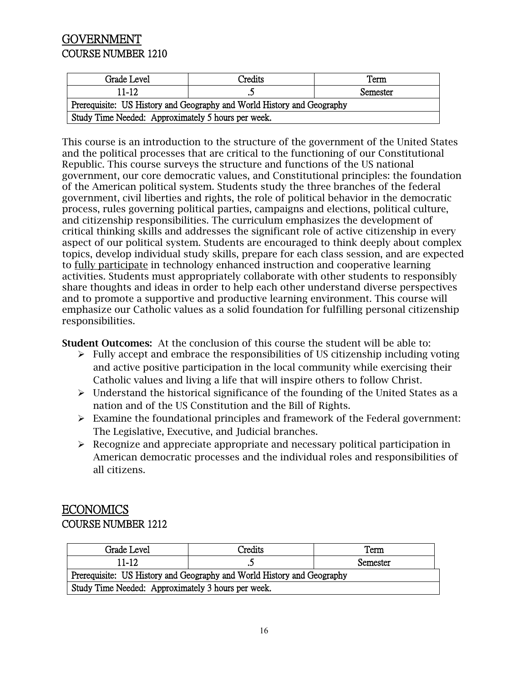## **GOVERNMENT** COURSE NUMBER 1210

| Grade Level                                                            | Credits | Term     |
|------------------------------------------------------------------------|---------|----------|
| 11-12                                                                  |         | Semester |
| Prerequisite: US History and Geography and World History and Geography |         |          |
| Study Time Needed: Approximately 5 hours per week.                     |         |          |

This course is an introduction to the structure of the government of the United States and the political processes that are critical to the functioning of our Constitutional Republic. This course surveys the structure and functions of the US national government, our core democratic values, and Constitutional principles: the foundation of the American political system. Students study the three branches of the federal government, civil liberties and rights, the role of political behavior in the democratic process, rules governing political parties, campaigns and elections, political culture, and citizenship responsibilities. The curriculum emphasizes the development of critical thinking skills and addresses the significant role of active citizenship in every aspect of our political system. Students are encouraged to think deeply about complex topics, develop individual study skills, prepare for each class session, and are expected to fully participate in technology enhanced instruction and cooperative learning activities. Students must appropriately collaborate with other students to responsibly share thoughts and ideas in order to help each other understand diverse perspectives and to promote a supportive and productive learning environment. This course will emphasize our Catholic values as a solid foundation for fulfilling personal citizenship responsibilities.

Student Outcomes: At the conclusion of this course the student will be able to:

- $\triangleright$  Fully accept and embrace the responsibilities of US citizenship including voting and active positive participation in the local community while exercising their Catholic values and living a life that will inspire others to follow Christ.
- $\triangleright$  Understand the historical significance of the founding of the United States as a nation and of the US Constitution and the Bill of Rights.
- $\triangleright$  Examine the foundational principles and framework of the Federal government: The Legislative, Executive, and Judicial branches.
- $\triangleright$  Recognize and appreciate appropriate and necessary political participation in American democratic processes and the individual roles and responsibilities of all citizens.

## ECONOMICS COURSE NUMBER 1212

| Grade Level                                                            | Credits | Term     |
|------------------------------------------------------------------------|---------|----------|
| $11 - 12$                                                              |         | Semester |
| Prerequisite: US History and Geography and World History and Geography |         |          |
| Study Time Needed: Approximately 3 hours per week.                     |         |          |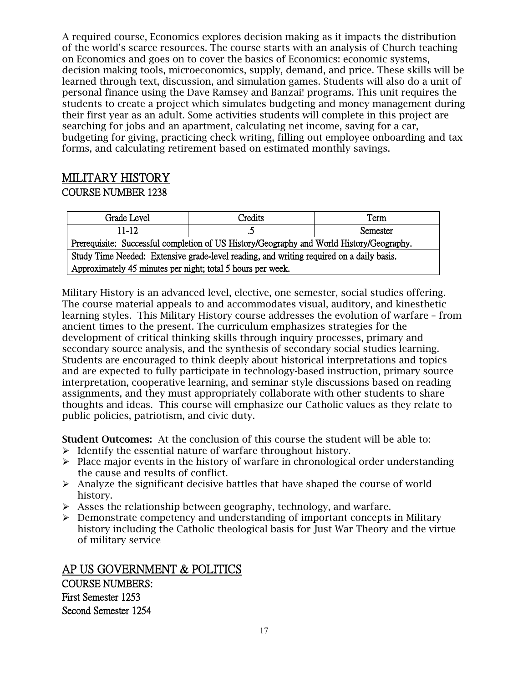A required course, Economics explores decision making as it impacts the distribution of the world's scarce resources. The course starts with an analysis of Church teaching on Economics and goes on to cover the basics of Economics: economic systems, decision making tools, microeconomics, supply, demand, and price. These skills will be learned through text, discussion, and simulation games. Students will also do a unit of personal finance using the Dave Ramsey and Banzai! programs. This unit requires the students to create a project which simulates budgeting and money management during their first year as an adult. Some activities students will complete in this project are searching for jobs and an apartment, calculating net income, saving for a car, budgeting for giving, practicing check writing, filling out employee onboarding and tax forms, and calculating retirement based on estimated monthly savings.

## MILITARY HISTORY

#### COURSE NUMBER 1238

| Grade Level                                                                              | Credits | Term     |
|------------------------------------------------------------------------------------------|---------|----------|
| $11 - 12$                                                                                |         | Semester |
| Prerequisite: Successful completion of US History/Geography and World History/Geography. |         |          |
| Study Time Needed: Extensive grade-level reading, and writing required on a daily basis. |         |          |
| Approximately 45 minutes per night; total 5 hours per week.                              |         |          |

Military History is an advanced level, elective, one semester, social studies offering. The course material appeals to and accommodates visual, auditory, and kinesthetic learning styles. This Military History course addresses the evolution of warfare – from ancient times to the present. The curriculum emphasizes strategies for the development of critical thinking skills through inquiry processes, primary and secondary source analysis, and the synthesis of secondary social studies learning. Students are encouraged to think deeply about historical interpretations and topics and are expected to fully participate in technology-based instruction, primary source interpretation, cooperative learning, and seminar style discussions based on reading assignments, and they must appropriately collaborate with other students to share thoughts and ideas. This course will emphasize our Catholic values as they relate to public policies, patriotism, and civic duty.

Student Outcomes: At the conclusion of this course the student will be able to:

- $\triangleright$  Identify the essential nature of warfare throughout history.
- $\triangleright$  Place major events in the history of warfare in chronological order understanding the cause and results of conflict.
- $\triangleright$  Analyze the significant decisive battles that have shaped the course of world history.
- $\triangleright$  Asses the relationship between geography, technology, and warfare.
- $\triangleright$  Demonstrate competency and understanding of important concepts in Military history including the Catholic theological basis for Just War Theory and the virtue of military service

AP US GOVERNMENT & POLITICS COURSE NUMBERS: First Semester 1253 Second Semester 1254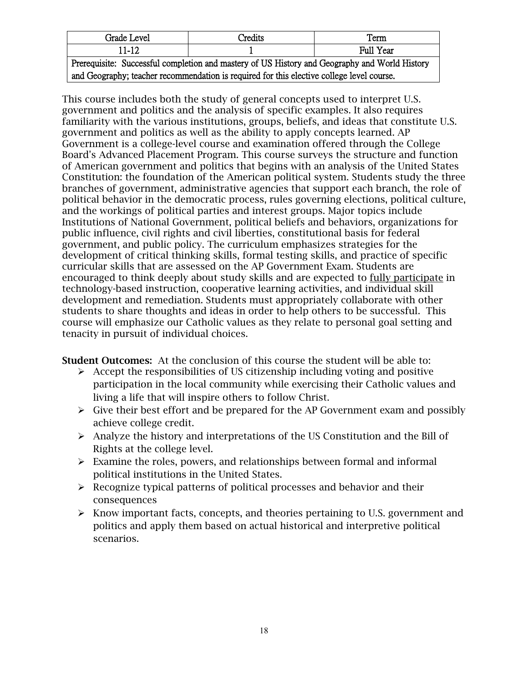| Grade Level                                                                                   | Credits | Term      |
|-----------------------------------------------------------------------------------------------|---------|-----------|
| $11-12$                                                                                       |         | Full Year |
| Prerequisite: Successful completion and mastery of US History and Geography and World History |         |           |
| and Geography; teacher recommendation is required for this elective college level course.     |         |           |

This course includes both the study of general concepts used to interpret U.S. government and politics and the analysis of specific examples. It also requires familiarity with the various institutions, groups, beliefs, and ideas that constitute U.S. government and politics as well as the ability to apply concepts learned. AP Government is a college-level course and examination offered through the College Board's Advanced Placement Program. This course surveys the structure and function of American government and politics that begins with an analysis of the United States Constitution: the foundation of the American political system. Students study the three branches of government, administrative agencies that support each branch, the role of political behavior in the democratic process, rules governing elections, political culture, and the workings of political parties and interest groups. Major topics include Institutions of National Government, political beliefs and behaviors, organizations for public influence, civil rights and civil liberties, constitutional basis for federal government, and public policy. The curriculum emphasizes strategies for the development of critical thinking skills, formal testing skills, and practice of specific curricular skills that are assessed on the AP Government Exam. Students are encouraged to think deeply about study skills and are expected to fully participate in technology-based instruction, cooperative learning activities, and individual skill development and remediation. Students must appropriately collaborate with other students to share thoughts and ideas in order to help others to be successful. This course will emphasize our Catholic values as they relate to personal goal setting and tenacity in pursuit of individual choices.

Student Outcomes: At the conclusion of this course the student will be able to:

- $\triangleright$  Accept the responsibilities of US citizenship including voting and positive participation in the local community while exercising their Catholic values and living a life that will inspire others to follow Christ.
- $\triangleright$  Give their best effort and be prepared for the AP Government exam and possibly achieve college credit.
- $\triangleright$  Analyze the history and interpretations of the US Constitution and the Bill of Rights at the college level.
- $\triangleright$  Examine the roles, powers, and relationships between formal and informal political institutions in the United States.
- $\triangleright$  Recognize typical patterns of political processes and behavior and their consequences
- $\triangleright$  Know important facts, concepts, and theories pertaining to U.S. government and politics and apply them based on actual historical and interpretive political scenarios.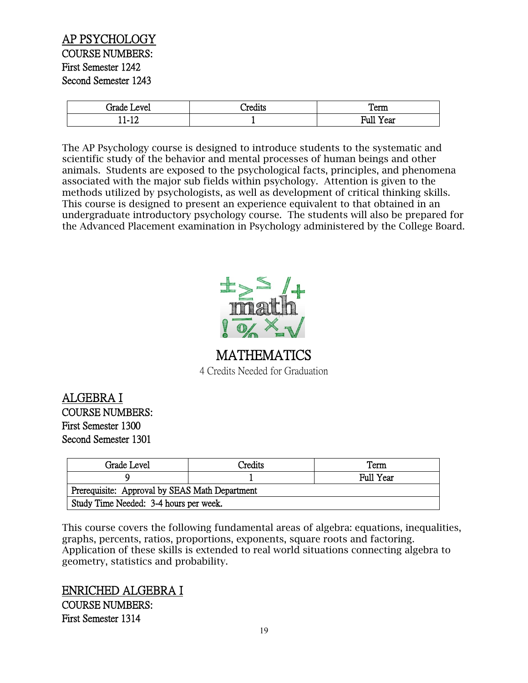#### AP PSYCHOLOGY COURSE NUMBERS: First Semester 1242 Second Semester 1243

| irade<br>evel | $\bullet$<br><b>PART</b><br>دست | Term                          |
|---------------|---------------------------------|-------------------------------|
| 10<br>.<br>∸∸ |                                 | $\sim$ $\sim$<br>Full<br>Year |

The AP Psychology course is designed to introduce students to the systematic and scientific study of the behavior and mental processes of human beings and other animals. Students are exposed to the psychological facts, principles, and phenomena associated with the major sub fields within psychology. Attention is given to the methods utilized by psychologists, as well as development of critical thinking skills. This course is designed to present an experience equivalent to that obtained in an undergraduate introductory psychology course. The students will also be prepared for the Advanced Placement examination in Psychology administered by the College Board.



## MATHEMATICS 4 Credits Needed for Graduation

ALGEBRA I COURSE NUMBERS: First Semester 1300 Second Semester 1301

| Grade Level                                    | Credits | Term      |
|------------------------------------------------|---------|-----------|
|                                                |         | Full Year |
| Prerequisite: Approval by SEAS Math Department |         |           |
| Study Time Needed: 3-4 hours per week.         |         |           |

This course covers the following fundamental areas of algebra: equations, inequalities, graphs, percents, ratios, proportions, exponents, square roots and factoring. Application of these skills is extended to real world situations connecting algebra to geometry, statistics and probability.

ENRICHED ALGEBRA I COURSE NUMBERS: First Semester 1314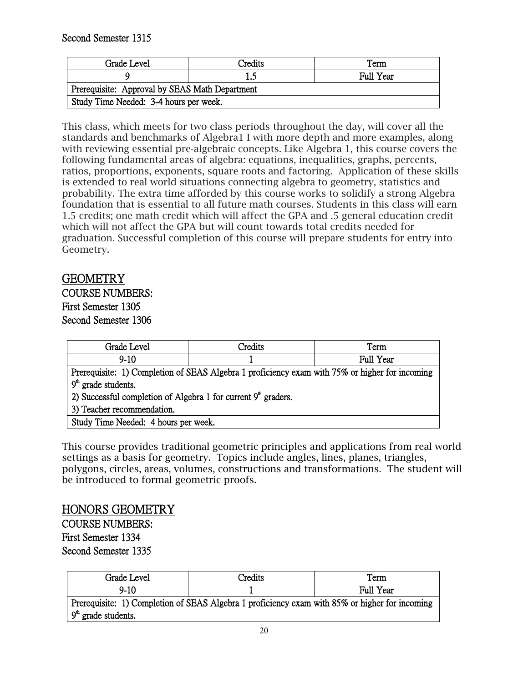Second Semester 1315

| Grade Level                                    | <b>Predits</b> | Term             |
|------------------------------------------------|----------------|------------------|
|                                                |                | <b>Full Year</b> |
| Prerequisite: Approval by SEAS Math Department |                |                  |
| Study Time Needed: 3-4 hours per week.         |                |                  |

This class, which meets for two class periods throughout the day, will cover all the standards and benchmarks of Algebra1 I with more depth and more examples, along with reviewing essential pre-algebraic concepts. Like Algebra 1, this course covers the following fundamental areas of algebra: equations, inequalities, graphs, percents, ratios, proportions, exponents, square roots and factoring. Application of these skills is extended to real world situations connecting algebra to geometry, statistics and probability. The extra time afforded by this course works to solidify a strong Algebra foundation that is essential to all future math courses. Students in this class will earn 1.5 credits; one math credit which will affect the GPA and .5 general education credit which will not affect the GPA but will count towards total credits needed for graduation. Successful completion of this course will prepare students for entry into Geometry.

## GEOMETRY

COURSE NUMBERS: First Semester 1305 Second Semester 1306

| Grade Level                                                                                    | Credits | Term      |
|------------------------------------------------------------------------------------------------|---------|-----------|
| $9-10$                                                                                         |         | Full Year |
| Prerequisite: 1) Completion of SEAS Algebra 1 proficiency exam with 75% or higher for incoming |         |           |
| $9th$ grade students.                                                                          |         |           |
| 2) Successful completion of Algebra 1 for current $9^{\text{th}}$ graders.                     |         |           |
| 3) Teacher recommendation.                                                                     |         |           |
| Study Time Needed: 4 hours per week.                                                           |         |           |

This course provides traditional geometric principles and applications from real world settings as a basis for geometry. Topics include angles, lines, planes, triangles, polygons, circles, areas, volumes, constructions and transformations. The student will be introduced to formal geometric proofs.

## HONORS GEOMETRY

COURSE NUMBERS: First Semester 1334 Second Semester 1335

| Grade Level                                                                                                             | Credits | Term             |
|-------------------------------------------------------------------------------------------------------------------------|---------|------------------|
| $9 - 10$                                                                                                                |         | <b>Full Year</b> |
| Prerequisite: 1) Completion of SEAS Algebra 1 proficiency exam with 85% or higher for incoming<br>$9th$ grade students. |         |                  |
|                                                                                                                         |         |                  |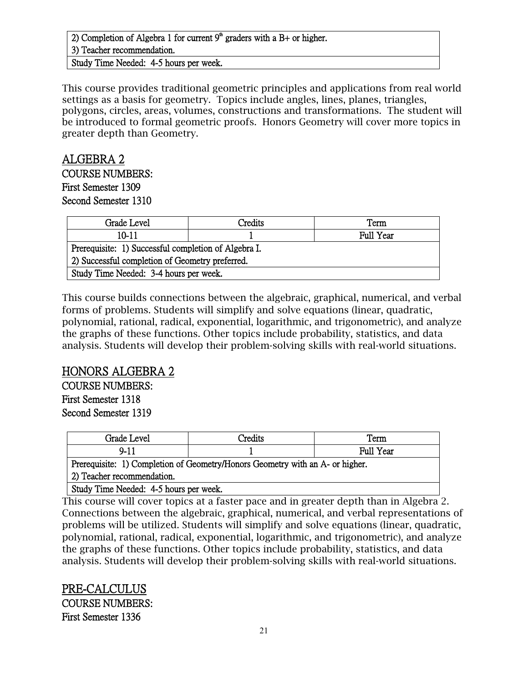#### 2) Completion of Algebra 1 for current  $9<sup>th</sup>$  graders with a B+ or higher. 3) Teacher recommendation. Study Time Needed: 4-5 hours per week.

This course provides traditional geometric principles and applications from real world settings as a basis for geometry. Topics include angles, lines, planes, triangles, polygons, circles, areas, volumes, constructions and transformations. The student will be introduced to formal geometric proofs. Honors Geometry will cover more topics in greater depth than Geometry.

## ALGEBRA 2 COURSE NUMBERS: First Semester 1309

Second Semester 1310

| Grade Level                                          | Credits | Term             |
|------------------------------------------------------|---------|------------------|
| 10-11                                                |         | <b>Full Year</b> |
| Prerequisite: 1) Successful completion of Algebra I. |         |                  |
| 2) Successful completion of Geometry preferred.      |         |                  |
| Study Time Needed: 3-4 hours per week.               |         |                  |

This course builds connections between the algebraic, graphical, numerical, and verbal forms of problems. Students will simplify and solve equations (linear, quadratic, polynomial, rational, radical, exponential, logarithmic, and trigonometric), and analyze the graphs of these functions. Other topics include probability, statistics, and data analysis. Students will develop their problem-solving skills with real-world situations.

## HONORS ALGEBRA 2

COURSE NUMBERS: First Semester 1318 Second Semester 1319

| Grade I<br>: Level                                                                           | 'redite | Term      |
|----------------------------------------------------------------------------------------------|---------|-----------|
| ч-<br>. .                                                                                    |         | Full Year |
| $\mathbf{r}$ , and it can as $\mathbf{r}$ and $\mathbf{r}$ and $\mathbf{r}$ and $\mathbf{r}$ |         |           |

Prerequisite: 1) Completion of Geometry/Honors Geometry with an A- or higher. 2) Teacher recommendation.

Study Time Needed: 4-5 hours per week.

This course will cover topics at a faster pace and in greater depth than in Algebra 2. Connections between the algebraic, graphical, numerical, and verbal representations of problems will be utilized. Students will simplify and solve equations (linear, quadratic, polynomial, rational, radical, exponential, logarithmic, and trigonometric), and analyze the graphs of these functions. Other topics include probability, statistics, and data analysis. Students will develop their problem-solving skills with real-world situations.

PRE-CALCULUS COURSE NUMBERS: First Semester 1336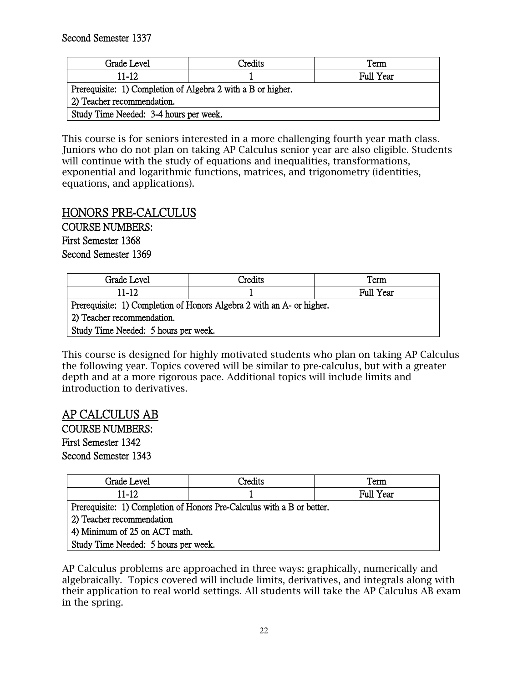Second Semester 1337

| Grade Level                                                  | <b>Predits</b> | Term             |
|--------------------------------------------------------------|----------------|------------------|
| $11 - 12$                                                    |                | <b>Full Year</b> |
| Prerequisite: 1) Completion of Algebra 2 with a B or higher. |                |                  |
| 2) Teacher recommendation.                                   |                |                  |
| Study Time Needed: 3-4 hours per week.                       |                |                  |

This course is for seniors interested in a more challenging fourth year math class. Juniors who do not plan on taking AP Calculus senior year are also eligible. Students will continue with the study of equations and inequalities, transformations, exponential and logarithmic functions, matrices, and trigonometry (identities, equations, and applications).

## HONORS PRE-CALCULUS

COURSE NUMBERS: First Semester 1368 Second Semester 1369

| Grade Level                                                           | Credits | Term      |
|-----------------------------------------------------------------------|---------|-----------|
| $11 - 12$                                                             |         | Full Year |
| Prerequisite: 1) Completion of Honors Algebra 2 with an A- or higher. |         |           |
| 2) Teacher recommendation.                                            |         |           |
| Study Time Needed: 5 hours per week.                                  |         |           |

This course is designed for highly motivated students who plan on taking AP Calculus the following year. Topics covered will be similar to pre-calculus, but with a greater depth and at a more rigorous pace. Additional topics will include limits and introduction to derivatives.

## AP CALCULUS AB

COURSE NUMBERS: First Semester 1342 Second Semester 1343

| Grade Level                                                            | Credits | Term             |
|------------------------------------------------------------------------|---------|------------------|
| 11-12                                                                  |         | <b>Full Year</b> |
| Prerequisite: 1) Completion of Honors Pre-Calculus with a B or better. |         |                  |
| 2) Teacher recommendation                                              |         |                  |
| 4) Minimum of 25 on ACT math.                                          |         |                  |
| Study Time Needed: 5 hours per week.                                   |         |                  |

AP Calculus problems are approached in three ways: graphically, numerically and algebraically. Topics covered will include limits, derivatives, and integrals along with their application to real world settings. All students will take the AP Calculus AB exam in the spring.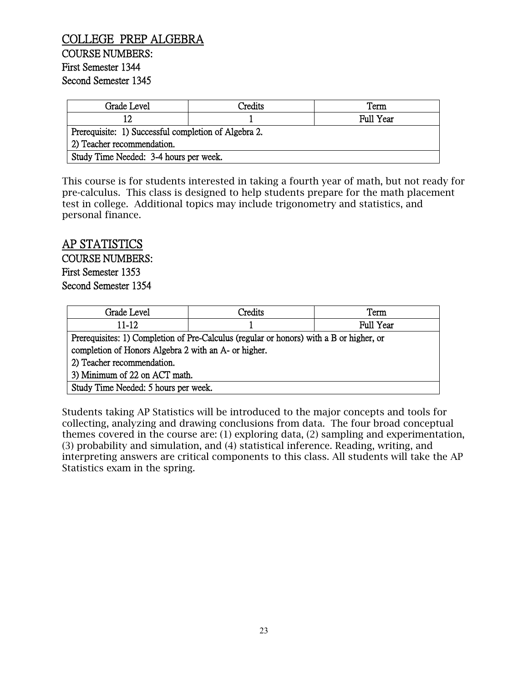#### COLLEGE PREP ALGEBRA COURSE NUMBERS: First Semester 1344 Second Semester 1345

| Grade Level                                          | Credits | Term      |
|------------------------------------------------------|---------|-----------|
| ר ו                                                  |         | Full Year |
| Prerequisite: 1) Successful completion of Algebra 2. |         |           |
| 2) Teacher recommendation.                           |         |           |
| Study Time Needed: 3-4 hours per week.               |         |           |

This course is for students interested in taking a fourth year of math, but not ready for pre-calculus. This class is designed to help students prepare for the math placement test in college. Additional topics may include trigonometry and statistics, and personal finance.

#### AP STATISTICS

COURSE NUMBERS: First Semester 1353 Second Semester 1354

| Grade Level                                                                             | Credits | Term      |
|-----------------------------------------------------------------------------------------|---------|-----------|
| $11 - 12$                                                                               |         | Full Year |
| Prerequisites: 1) Completion of Pre-Calculus (regular or honors) with a B or higher, or |         |           |
| completion of Honors Algebra 2 with an A- or higher.                                    |         |           |
| 2) Teacher recommendation.                                                              |         |           |
| 3) Minimum of 22 on ACT math.                                                           |         |           |
| Study Time Needed: 5 hours per week.                                                    |         |           |

Students taking AP Statistics will be introduced to the major concepts and tools for collecting, analyzing and drawing conclusions from data. The four broad conceptual themes covered in the course are: (1) exploring data, (2) sampling and experimentation, (3) probability and simulation, and (4) statistical inference. Reading, writing, and interpreting answers are critical components to this class. All students will take the AP Statistics exam in the spring.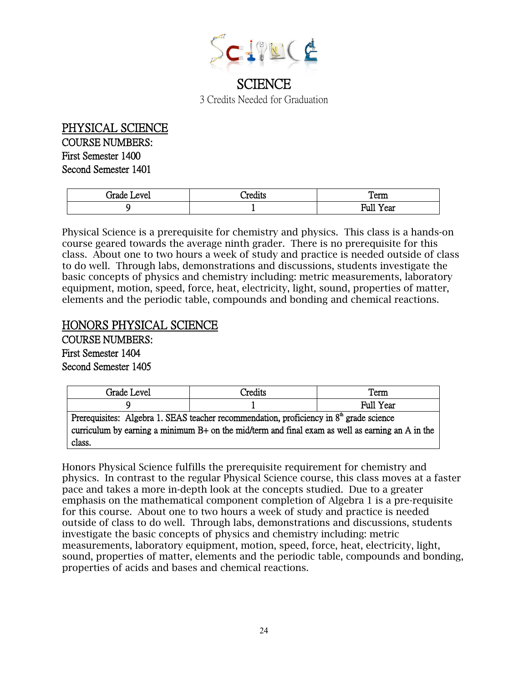

3 Credits Needed for Graduation

PHYSICAL SCIENCE COURSE NUMBERS: First Semester 1400 Second Semester 1401

| ™ade<br>evel | ^≏יזי<br>دما الملباب | Term                  |
|--------------|----------------------|-----------------------|
|              |                      | Full<br>$- -$<br>rear |

Physical Science is a prerequisite for chemistry and physics. This class is a hands-on course geared towards the average ninth grader. There is no prerequisite for this class. About one to two hours a week of study and practice is needed outside of class to do well. Through labs, demonstrations and discussions, students investigate the basic concepts of physics and chemistry including: metric measurements, laboratory equipment, motion, speed, force, heat, electricity, light, sound, properties of matter, elements and the periodic table, compounds and bonding and chemical reactions.

## HONORS PHYSICAL SCIENCE

COURSE NUMBERS: First Semester 1404 Second Semester 1405

| Grade Level                                                                                        | Credits | Term      |
|----------------------------------------------------------------------------------------------------|---------|-----------|
|                                                                                                    |         | Full Year |
| Prerequisites: Algebra 1. SEAS teacher recommendation, proficiency in $8th$ grade science          |         |           |
| curriculum by earning a minimum $B+$ on the mid/term and final exam as well as earning an A in the |         |           |
| class.                                                                                             |         |           |

Honors Physical Science fulfills the prerequisite requirement for chemistry and physics. In contrast to the regular Physical Science course, this class moves at a faster pace and takes a more in-depth look at the concepts studied. Due to a greater emphasis on the mathematical component completion of Algebra 1 is a pre-requisite for this course. About one to two hours a week of study and practice is needed outside of class to do well. Through labs, demonstrations and discussions, students investigate the basic concepts of physics and chemistry including: metric measurements, laboratory equipment, motion, speed, force, heat, electricity, light, sound, properties of matter, elements and the periodic table, compounds and bonding, properties of acids and bases and chemical reactions.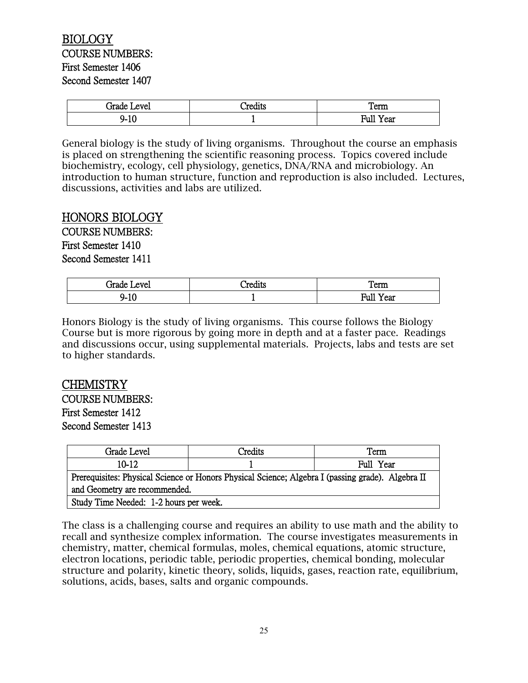#### BIOLOGY COURSE NUMBERS: First Semester 1406 Second Semester 1407

| irade<br>evel         | $\bullet$<br>redits:<br>cults<br>-11 | Term                  |
|-----------------------|--------------------------------------|-----------------------|
| £<br>- 4<br>ч.<br>'IU |                                      | Full<br>$- -$<br>Year |

General biology is the study of living organisms. Throughout the course an emphasis is placed on strengthening the scientific reasoning process. Topics covered include biochemistry, ecology, cell physiology, genetics, DNA/RNA and microbiology. An introduction to human structure, function and reproduction is also included. Lectures, discussions, activities and labs are utilized.

#### HONORS BIOLOGY

COURSE NUMBERS: First Semester 1410 Second Semester 1411

| <b>Frade</b><br>evel    | ∴'re∕<br>. UIII S | Term                     |
|-------------------------|-------------------|--------------------------|
| $\sim$<br>∽<br>-<br>1.V |                   | $-$<br>Full<br>Year<br>. |

Honors Biology is the study of living organisms. This course follows the Biology Course but is more rigorous by going more in depth and at a faster pace. Readings and discussions occur, using supplemental materials. Projects, labs and tests are set to higher standards.

CHEMISTRY COURSE NUMBERS: First Semester 1412 Second Semester 1413

| Grade Level                                                                                       | Credits | Term      |
|---------------------------------------------------------------------------------------------------|---------|-----------|
| 10-12                                                                                             |         | Full Year |
| Prerequisites: Physical Science or Honors Physical Science; Algebra I (passing grade). Algebra II |         |           |
| and Geometry are recommended.                                                                     |         |           |
| Study Time Needed: 1-2 hours per week.                                                            |         |           |

The class is a challenging course and requires an ability to use math and the ability to recall and synthesize complex information. The course investigates measurements in chemistry, matter, chemical formulas, moles, chemical equations, atomic structure, electron locations, periodic table, periodic properties, chemical bonding, molecular structure and polarity, kinetic theory, solids, liquids, gases, reaction rate, equilibrium, solutions, acids, bases, salts and organic compounds.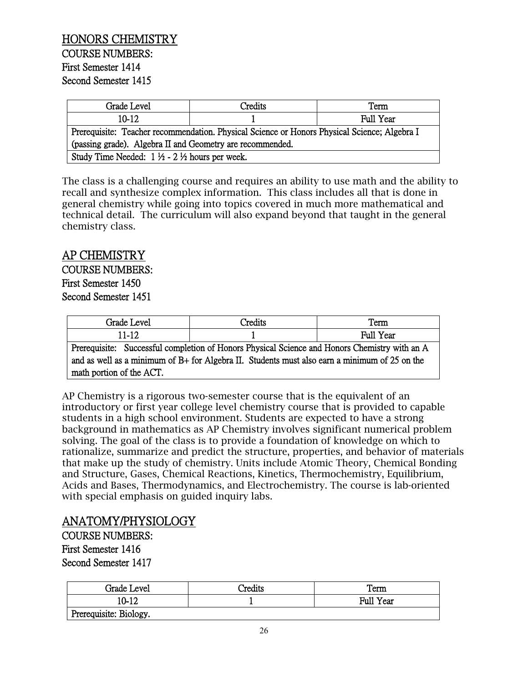| Grade Level                                                                                  | Credits | Term      |
|----------------------------------------------------------------------------------------------|---------|-----------|
| $10-12.$                                                                                     |         | Full Year |
| Prerequisite: Teacher recommendation. Physical Science or Honors Physical Science; Algebra I |         |           |
| (passing grade). Algebra II and Geometry are recommended.                                    |         |           |
| Study Time Needed: $1 \frac{1}{2} - 2 \frac{1}{2}$ hours per week.                           |         |           |

The class is a challenging course and requires an ability to use math and the ability to recall and synthesize complex information. This class includes all that is done in general chemistry while going into topics covered in much more mathematical and technical detail. The curriculum will also expand beyond that taught in the general chemistry class.

## AP CHEMISTRY

COURSE NUMBERS: First Semester 1450 Second Semester 1451

| Level<br>Grade I                                                                                                                                                                                                  | <sup>-</sup> redits | Term         |
|-------------------------------------------------------------------------------------------------------------------------------------------------------------------------------------------------------------------|---------------------|--------------|
| $\sim$ 10<br>1 – I<br>11-14                                                                                                                                                                                       |                     | Year<br>Full |
| $\alpha$ . The contraction of $\alpha$ is $\alpha$ in $\alpha$ in $\alpha$ in $\alpha$ is the contract of $\alpha$ in $\alpha$ is $\alpha$ is the contract of $\alpha$<br>1. The concentration of the <b>1990</b> |                     |              |

Prerequisite: Successful completion of Honors Physical Science and Honors Chemistry with an A and as well as a minimum of B+ for Algebra II. Students must also earn a minimum of 25 on the math portion of the ACT.

AP Chemistry is a rigorous two-semester course that is the equivalent of an introductory or first year college level chemistry course that is provided to capable students in a high school environment. Students are expected to have a strong background in mathematics as AP Chemistry involves significant numerical problem solving. The goal of the class is to provide a foundation of knowledge on which to rationalize, summarize and predict the structure, properties, and behavior of materials that make up the study of chemistry. Units include Atomic Theory, Chemical Bonding and Structure, Gases, Chemical Reactions, Kinetics, Thermochemistry, Equilibrium, Acids and Bases, Thermodynamics, and Electrochemistry. The course is lab-oriented with special emphasis on guided inquiry labs.

## ANATOMY/PHYSIOLOGY

COURSE NUMBERS: First Semester 1416 Second Semester 1417

| Grade Level            | <b>Predits</b> | Term      |
|------------------------|----------------|-----------|
| 10-12                  |                | Full Year |
| Prerequisite: Biology. |                |           |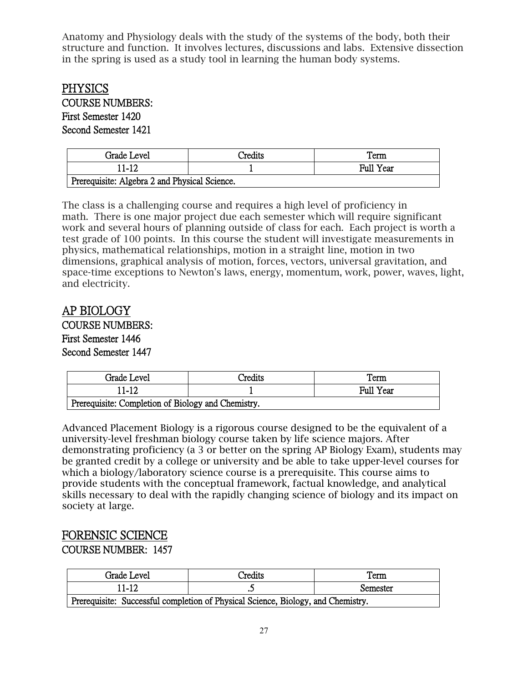Anatomy and Physiology deals with the study of the systems of the body, both their structure and function. It involves lectures, discussions and labs. Extensive dissection in the spring is used as a study tool in learning the human body systems.

## **PHYSICS**

COURSE NUMBERS: First Semester 1420 Second Semester 1421

| Grade Level                                   | Credits | Term             |
|-----------------------------------------------|---------|------------------|
| 11-12                                         |         | <b>Full Year</b> |
| Prerequisite: Algebra 2 and Physical Science. |         |                  |

The class is a challenging course and requires a high level of proficiency in math. There is one major project due each semester which will require significant work and several hours of planning outside of class for each. Each project is worth a test grade of 100 points. In this course the student will investigate measurements in physics, mathematical relationships, motion in a straight line, motion in two dimensions, graphical analysis of motion, forces, vectors, universal gravitation, and space-time exceptions to Newton's laws, energy, momentum, work, power, waves, light, and electricity.

## AP BIOLOGY

COURSE NUMBERS: First Semester 1446 Second Semester 1447

| Grade Level                                        | Credits | Term      |
|----------------------------------------------------|---------|-----------|
| 11-12                                              |         | Full Year |
| Prerequisite: Completion of Biology and Chemistry. |         |           |

Advanced Placement Biology is a rigorous course designed to be the equivalent of a university-level freshman biology course taken by life science majors. After demonstrating proficiency (a 3 or better on the spring AP Biology Exam), students may be granted credit by a college or university and be able to take upper-level courses for which a biology/laboratory science course is a prerequisite. This course aims to provide students with the conceptual framework, factual knowledge, and analytical skills necessary to deal with the rapidly changing science of biology and its impact on society at large.

## FORENSIC SCIENCE

#### COURSE NUMBER: 1457

| Grade Level                                                                      | Credits | Term     |
|----------------------------------------------------------------------------------|---------|----------|
| 11-12                                                                            |         | Semester |
| Prerequisite: Successful completion of Physical Science, Biology, and Chemistry. |         |          |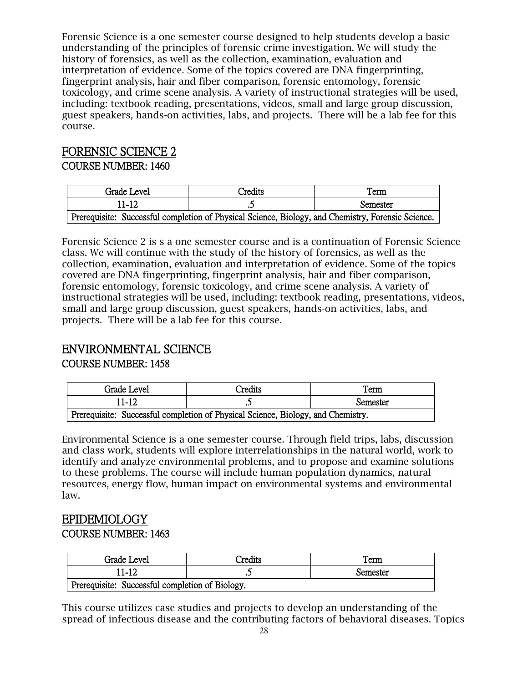Forensic Science is a one semester course designed to help students develop a basic understanding of the principles of forensic crime investigation. We will study the history of forensics, as well as the collection, examination, evaluation and interpretation of evidence. Some of the topics covered are DNA fingerprinting, fingerprint analysis, hair and fiber comparison, forensic entomology, forensic toxicology, and crime scene analysis. A variety of instructional strategies will be used, including: textbook reading, presentations, videos, small and large group discussion, guest speakers, hands-on activities, labs, and projects. There will be a lab fee for this course.

# FORENSIC SCIENCE 2

#### COURSE NUMBER: 1460

| Grade Level                                                                                        | <b>Predits</b> | Term     |
|----------------------------------------------------------------------------------------------------|----------------|----------|
| 11-12                                                                                              |                | Semester |
| Prerequisite: Successful completion of Physical Science, Biology, and Chemistry, Forensic Science. |                |          |

Forensic Science 2 is s a one semester course and is a continuation of Forensic Science class. We will continue with the study of the history of forensics, as well as the collection, examination, evaluation and interpretation of evidence. Some of the topics covered are DNA fingerprinting, fingerprint analysis, hair and fiber comparison, forensic entomology, forensic toxicology, and crime scene analysis. A variety of instructional strategies will be used, including: textbook reading, presentations, videos, small and large group discussion, guest speakers, hands-on activities, labs, and projects. There will be a lab fee for this course.

# ENVIRONMENTAL SCIENCE

#### COURSE NUMBER: 1458

| Grade Level                                                                      | <b>Predits</b> | Term     |
|----------------------------------------------------------------------------------|----------------|----------|
| 11-12                                                                            |                | Semester |
| Prerequisite: Successful completion of Physical Science, Biology, and Chemistry. |                |          |

Environmental Science is a one semester course. Through field trips, labs, discussion and class work, students will explore interrelationships in the natural world, work to identify and analyze environmental problems, and to propose and examine solutions to these problems. The course will include human population dynamics, natural resources, energy flow, human impact on environmental systems and environmental law.

## EPIDEMIOLOGY COURSE NUMBER: 1463

| Grade Level                                     | Credits | Term     |
|-------------------------------------------------|---------|----------|
| 11-12                                           | سە      | Semester |
| Prerequisite: Successful completion of Biology. |         |          |

This course utilizes case studies and projects to develop an understanding of the spread of infectious disease and the contributing factors of behavioral diseases. Topics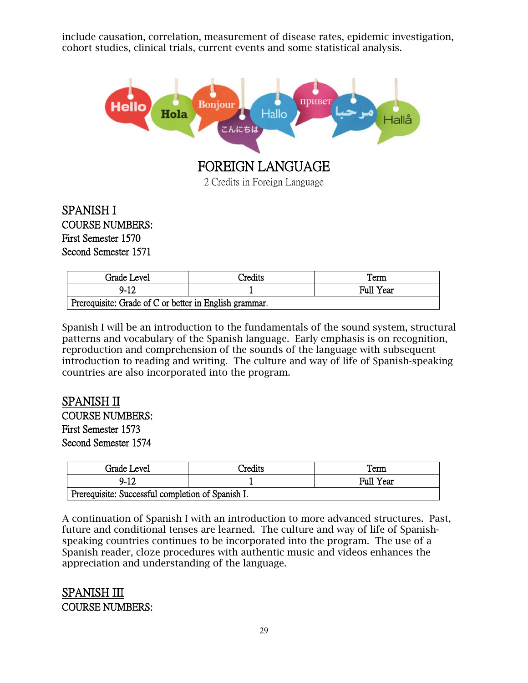include causation, correlation, measurement of disease rates, epidemic investigation, cohort studies, clinical trials, current events and some statistical analysis.



## SPANISH I COURSE NUMBERS: First Semester 1570 Second Semester 1571

| Grade Level                                            | Credits | Term             |
|--------------------------------------------------------|---------|------------------|
| 9-12                                                   |         | <b>Full Year</b> |
| Prerequisite: Grade of C or better in English grammar. |         |                  |

Spanish I will be an introduction to the fundamentals of the sound system, structural patterns and vocabulary of the Spanish language. Early emphasis is on recognition, reproduction and comprehension of the sounds of the language with subsequent introduction to reading and writing. The culture and way of life of Spanish-speaking countries are also incorporated into the program.

## SPANISH II

COURSE NUMBERS: First Semester 1573 Second Semester 1574

| Grade Level                                       | Credits | Term      |
|---------------------------------------------------|---------|-----------|
| 9-12                                              |         | Full Year |
| Prerequisite: Successful completion of Spanish I. |         |           |

A continuation of Spanish I with an introduction to more advanced structures. Past, future and conditional tenses are learned. The culture and way of life of Spanishspeaking countries continues to be incorporated into the program. The use of a Spanish reader, cloze procedures with authentic music and videos enhances the appreciation and understanding of the language.

## SPANISH III COURSE NUMBERS: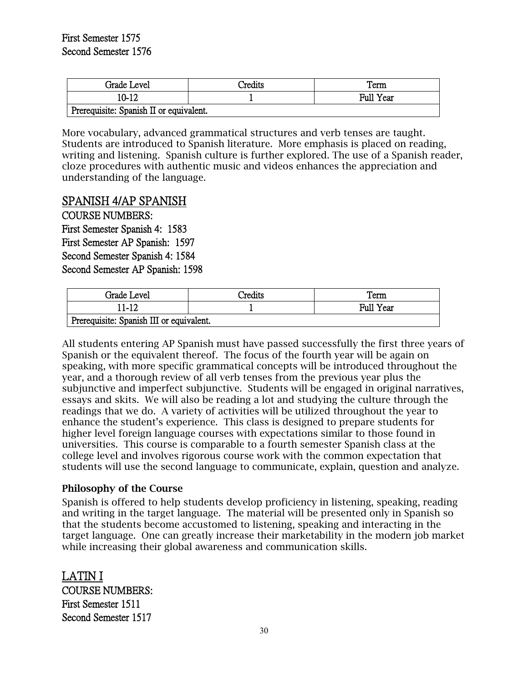| Grade Level                             | Credits | Term             |
|-----------------------------------------|---------|------------------|
| 10-12                                   |         | <b>Full Year</b> |
| Prerequisite: Spanish II or equivalent. |         |                  |

More vocabulary, advanced grammatical structures and verb tenses are taught. Students are introduced to Spanish literature. More emphasis is placed on reading, writing and listening. Spanish culture is further explored. The use of a Spanish reader, cloze procedures with authentic music and videos enhances the appreciation and understanding of the language.

#### SPANISH 4/AP SPANISH

COURSE NUMBERS: First Semester Spanish 4: 1583 First Semester AP Spanish: 1597 Second Semester Spanish 4: 1584 Second Semester AP Spanish: 1598

| Grade Level                              | <b>Predits</b> | Term      |
|------------------------------------------|----------------|-----------|
| 11-12                                    |                | Full Year |
| Prerequisite: Spanish III or equivalent. |                |           |

All students entering AP Spanish must have passed successfully the first three years of Spanish or the equivalent thereof. The focus of the fourth year will be again on speaking, with more specific grammatical concepts will be introduced throughout the year, and a thorough review of all verb tenses from the previous year plus the subjunctive and imperfect subjunctive. Students will be engaged in original narratives, essays and skits. We will also be reading a lot and studying the culture through the readings that we do. A variety of activities will be utilized throughout the year to enhance the student's experience. This class is designed to prepare students for higher level foreign language courses with expectations similar to those found in universities. This course is comparable to a fourth semester Spanish class at the college level and involves rigorous course work with the common expectation that students will use the second language to communicate, explain, question and analyze.

#### Philosophy of the Course

Spanish is offered to help students develop proficiency in listening, speaking, reading and writing in the target language. The material will be presented only in Spanish so that the students become accustomed to listening, speaking and interacting in the target language. One can greatly increase their marketability in the modern job market while increasing their global awareness and communication skills.

LATIN I COURSE NUMBERS: First Semester 1511 Second Semester 1517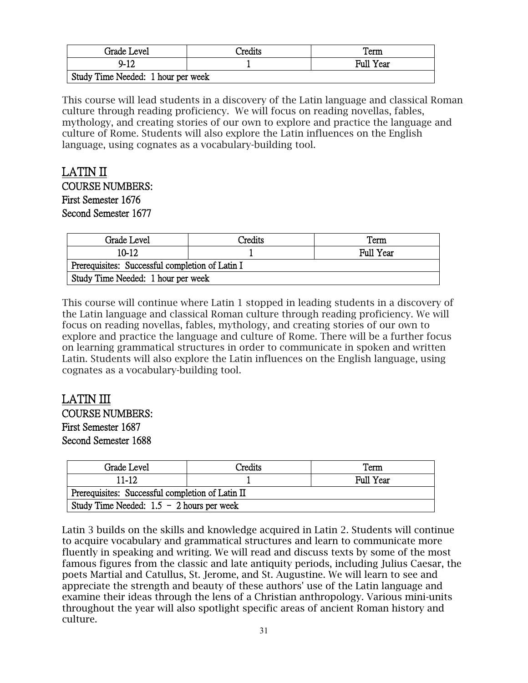| Grade Level                        | `redits | Term      |
|------------------------------------|---------|-----------|
| $9 - 12$                           |         | Full Year |
| Study Time Needed: 1 hour per week |         |           |

This course will lead students in a discovery of the Latin language and classical Roman culture through reading proficiency. We will focus on reading novellas, fables, mythology, and creating stories of our own to explore and practice the language and culture of Rome. Students will also explore the Latin influences on the English language, using cognates as a vocabulary-building tool.

## LATIN II COURSE NUMBERS: First Semester 1676 Second Semester 1677

| Grade Level                                     | Credits | Term      |
|-------------------------------------------------|---------|-----------|
| 10-12                                           |         | Full Year |
| Prerequisites: Successful completion of Latin I |         |           |
| Study Time Needed: 1 hour per week              |         |           |

This course will continue where Latin 1 stopped in leading students in a discovery of the Latin language and classical Roman culture through reading proficiency. We will focus on reading novellas, fables, mythology, and creating stories of our own to explore and practice the language and culture of Rome. There will be a further focus on learning grammatical structures in order to communicate in spoken and written Latin. Students will also explore the Latin influences on the English language, using cognates as a vocabulary-building tool.

#### LATIN III COURSE NUMBERS: First Semester 1687 Second Semester 1688

| Grade Level                                      | Credits | Term      |
|--------------------------------------------------|---------|-----------|
| $11 - 12$                                        |         | Full Year |
| Prerequisites: Successful completion of Latin II |         |           |
| Study Time Needed: $1.5 - 2$ hours per week      |         |           |

Latin 3 builds on the skills and knowledge acquired in Latin 2. Students will continue to acquire vocabulary and grammatical structures and learn to communicate more fluently in speaking and writing. We will read and discuss texts by some of the most famous figures from the classic and late antiquity periods, including Julius Caesar, the poets Martial and Catullus, St. Jerome, and St. Augustine. We will learn to see and appreciate the strength and beauty of these authors' use of the Latin language and examine their ideas through the lens of a Christian anthropology. Various mini-units throughout the year will also spotlight specific areas of ancient Roman history and culture.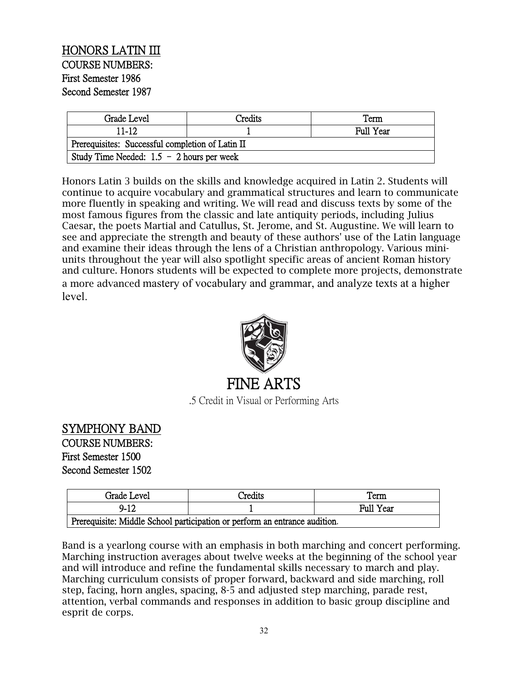## HONORS LATIN III COURSE NUMBERS: First Semester 1986 Second Semester 1987

| Grade Level                                      | Credits | Term             |
|--------------------------------------------------|---------|------------------|
| 11-12                                            |         | <b>Full Year</b> |
| Prerequisites: Successful completion of Latin II |         |                  |
| Study Time Needed: $1.5 - 2$ hours per week      |         |                  |

Honors Latin 3 builds on the skills and knowledge acquired in Latin 2. Students will continue to acquire vocabulary and grammatical structures and learn to communicate more fluently in speaking and writing. We will read and discuss texts by some of the most famous figures from the classic and late antiquity periods, including Julius Caesar, the poets Martial and Catullus, St. Jerome, and St. Augustine. We will learn to see and appreciate the strength and beauty of these authors' use of the Latin language and examine their ideas through the lens of a Christian anthropology. Various miniunits throughout the year will also spotlight specific areas of ancient Roman history and culture. Honors students will be expected to complete more projects, demonstrate a more advanced mastery of vocabulary and grammar, and analyze texts at a higher level.



.5 Credit in Visual or Performing Arts

## SYMPHONY BAND

COURSE NUMBERS: First Semester 1500 Second Semester 1502

| Grade Level                                                                | <b>Predits</b> | Term             |
|----------------------------------------------------------------------------|----------------|------------------|
| 9-12                                                                       |                | <b>Full Year</b> |
| Prerequisite: Middle School participation or perform an entrance audition. |                |                  |

Band is a yearlong course with an emphasis in both marching and concert performing. Marching instruction averages about twelve weeks at the beginning of the school year and will introduce and refine the fundamental skills necessary to march and play. Marching curriculum consists of proper forward, backward and side marching, roll step, facing, horn angles, spacing, 8-5 and adjusted step marching, parade rest, attention, verbal commands and responses in addition to basic group discipline and esprit de corps.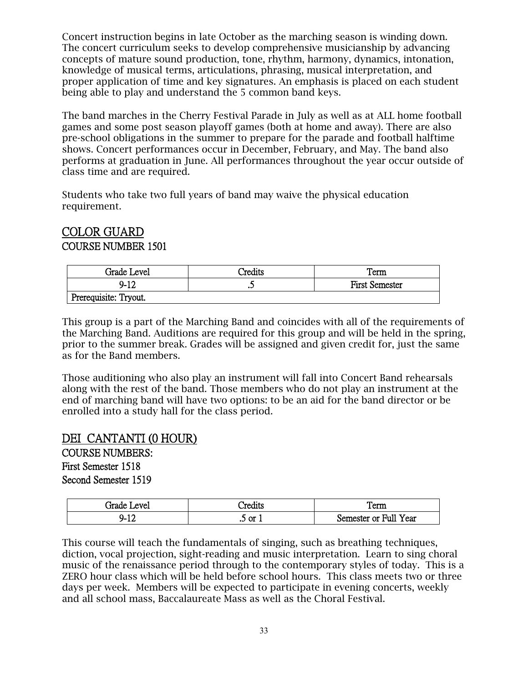Concert instruction begins in late October as the marching season is winding down. The concert curriculum seeks to develop comprehensive musicianship by advancing concepts of mature sound production, tone, rhythm, harmony, dynamics, intonation, knowledge of musical terms, articulations, phrasing, musical interpretation, and proper application of time and key signatures. An emphasis is placed on each student being able to play and understand the 5 common band keys.

The band marches in the Cherry Festival Parade in July as well as at ALL home football games and some post season playoff games (both at home and away). There are also pre-school obligations in the summer to prepare for the parade and football halftime shows. Concert performances occur in December, February, and May. The band also performs at graduation in June. All performances throughout the year occur outside of class time and are required.

Students who take two full years of band may waive the physical education requirement.

#### COLOR GUARD COURSE NUMBER 1501

| Grade Level           | `redits              | Term                  |
|-----------------------|----------------------|-----------------------|
| $9 - 12$              | $\ddot{\phantom{0}}$ | <b>First Semester</b> |
| Prerequisite: Tryout. |                      |                       |

This group is a part of the Marching Band and coincides with all of the requirements of the Marching Band. Auditions are required for this group and will be held in the spring, prior to the summer break. Grades will be assigned and given credit for, just the same as for the Band members.

Those auditioning who also play an instrument will fall into Concert Band rehearsals along with the rest of the band. Those members who do not play an instrument at the end of marching band will have two options: to be an aid for the band director or be enrolled into a study hall for the class period.

## DEI CANTANTI (0 HOUR)

COURSE NUMBERS: First Semester 1518 Second Semester 1519

| frade.<br>evel                       | redits:               | 1 cm                              |
|--------------------------------------|-----------------------|-----------------------------------|
| ч-<br>$\overline{\phantom{a}}$<br>-- | $\sim$ or $\sim$<br>ت | <b>Full Year</b><br>Semester or ' |

This course will teach the fundamentals of singing, such as breathing techniques, diction, vocal projection, sight-reading and music interpretation. Learn to sing choral music of the renaissance period through to the contemporary styles of today. This is a ZERO hour class which will be held before school hours. This class meets two or three days per week. Members will be expected to participate in evening concerts, weekly and all school mass, Baccalaureate Mass as well as the Choral Festival.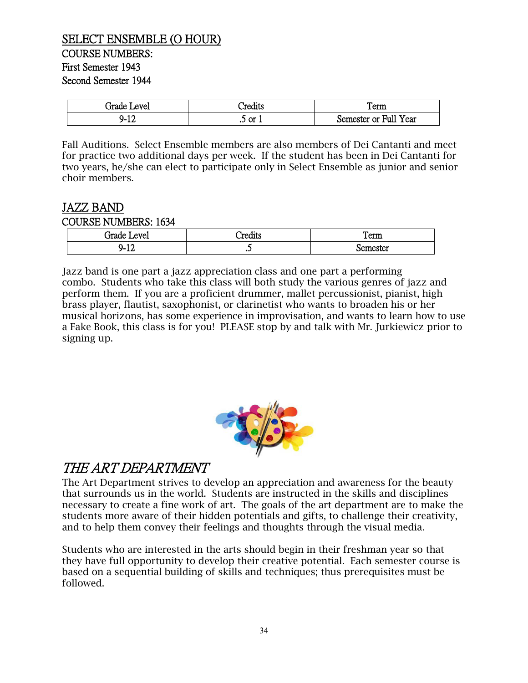#### SELECT ENSEMBLE (O HOUR) COURSE NUMBERS: First Semester 1943 Second Semester 1944

| .irade<br>evel | `red1te<br>лим                           | rerm                           |
|----------------|------------------------------------------|--------------------------------|
| 10<br>ч.<br>∸∸ | $\sim$ or $\sim$<br>$\ddot{\phantom{0}}$ | Full Yo<br>Year<br>Semester or |

Fall Auditions. Select Ensemble members are also members of Dei Cantanti and meet for practice two additional days per week. If the student has been in Dei Cantanti for two years, he/she can elect to participate only in Select Ensemble as junior and senior choir members.

## JAZZ BAND

#### COURSE NUMBERS: 1634

| د ام ممد"<br>AVA    | $\rightarrow$<br>امحمدا<br> | --<br>. erm<br>Term      |
|---------------------|-----------------------------|--------------------------|
| $\sim$<br>ч-<br>∸⊥∠ | پ                           | <b>Amester</b><br>ື<br>~ |

Jazz band is one part a jazz appreciation class and one part a performing combo. Students who take this class will both study the various genres of jazz and perform them. If you are a proficient drummer, mallet percussionist, pianist, high brass player, flautist, saxophonist, or clarinetist who wants to broaden his or her musical horizons, has some experience in improvisation, and wants to learn how to use a Fake Book, this class is for you! PLEASE stop by and talk with Mr. Jurkiewicz prior to signing up.



## THE ART DEPARTMENT

The Art Department strives to develop an appreciation and awareness for the beauty that surrounds us in the world. Students are instructed in the skills and disciplines necessary to create a fine work of art. The goals of the art department are to make the students more aware of their hidden potentials and gifts, to challenge their creativity, and to help them convey their feelings and thoughts through the visual media.

Students who are interested in the arts should begin in their freshman year so that they have full opportunity to develop their creative potential. Each semester course is based on a sequential building of skills and techniques; thus prerequisites must be followed.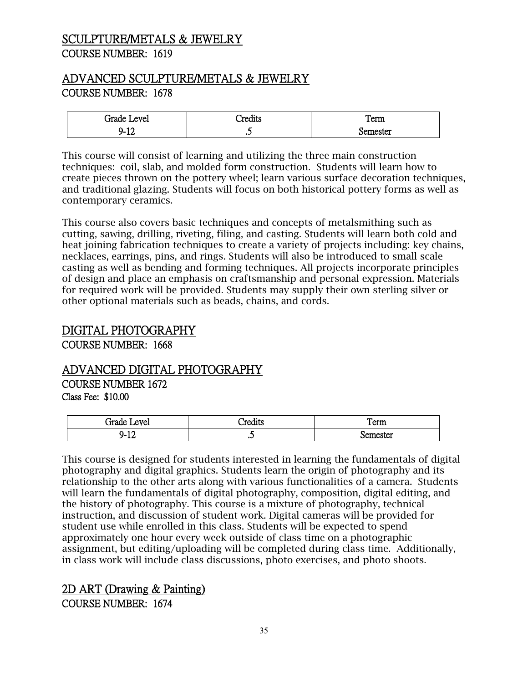## SCULPTURE/METALS & JEWELRY COURSE NUMBER: 1619

## ADVANCED SCULPTURE/METALS & JEWELRY COURSE NUMBER: 1678

| <del>i</del> rade<br>AVA<br>۷۷. | ---<br>11W           | $\sim$<br>∡сцщ                     |
|---------------------------------|----------------------|------------------------------------|
| $\sim$<br>ч-<br>∸∸              | $\ddot{\phantom{0}}$ | <b>ACTAT</b><br><b>UCSW</b><br>. . |

This course will consist of learning and utilizing the three main construction techniques: coil, slab, and molded form construction. Students will learn how to create pieces thrown on the pottery wheel; learn various surface decoration techniques, and traditional glazing. Students will focus on both historical pottery forms as well as contemporary ceramics.

This course also covers basic techniques and concepts of metalsmithing such as cutting, sawing, drilling, riveting, filing, and casting. Students will learn both cold and heat joining fabrication techniques to create a variety of projects including: key chains, necklaces, earrings, pins, and rings. Students will also be introduced to small scale casting as well as bending and forming techniques. All projects incorporate principles of design and place an emphasis on craftsmanship and personal expression. Materials for required work will be provided. Students may supply their own sterling silver or other optional materials such as beads, chains, and cords.

## DIGITAL PHOTOGRAPHY

COURSE NUMBER: 1668

## ADVANCED DIGITAL PHOTOGRAPHY

COURSE NUMBER 1672 Class Fee: \$10.00

| Grade<br>evel<br>LANUL | . .<br>'rodite<br>۔ دہریں | _<br>Term |
|------------------------|---------------------------|-----------|
| 10<br>∽<br>14          | ر. .                      | *^^*^**   |

This course is designed for students interested in learning the fundamentals of digital photography and digital graphics. Students learn the origin of photography and its relationship to the other arts along with various functionalities of a camera. Students will learn the fundamentals of digital photography, composition, digital editing, and the history of photography. This course is a mixture of photography, technical instruction, and discussion of student work. Digital cameras will be provided for student use while enrolled in this class. Students will be expected to spend approximately one hour every week outside of class time on a photographic assignment, but editing/uploading will be completed during class time. Additionally, in class work will include class discussions, photo exercises, and photo shoots.

## 2D ART (Drawing & Painting)

COURSE NUMBER: 1674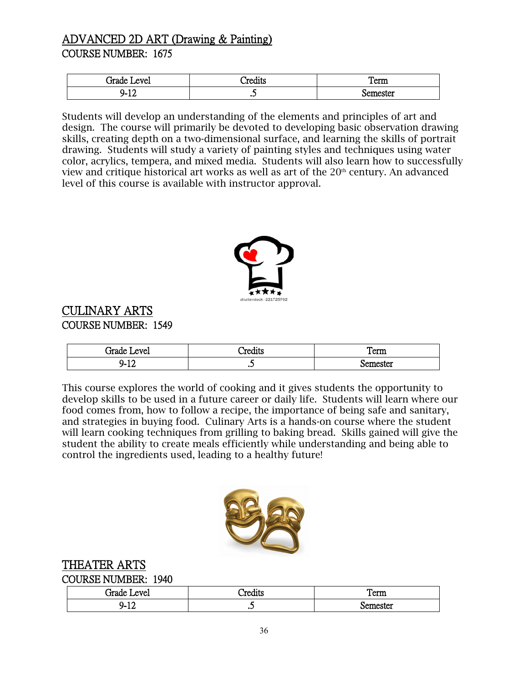## ADVANCED 2D ART (Drawing & Painting) COURSE NUMBER: 1675

| irade<br>evel  | $\bullet$<br>^≏יי<br>$\sim$ - Culto | Term     |
|----------------|-------------------------------------|----------|
| 10<br>ч.<br>-- | $\ddot{\phantom{0}}$                | iemester |

Students will develop an understanding of the elements and principles of art and design. The course will primarily be devoted to developing basic observation drawing skills, creating depth on a two-dimensional surface, and learning the skills of portrait drawing. Students will study a variety of painting styles and techniques using water color, acrylics, tempera, and mixed media. Students will also learn how to successfully view and critique historical art works as well as art of the  $20<sup>th</sup>$  century. An advanced level of this course is available with instructor approval.



## CULINARY ARTS COURSE NUMBER: 1549

| -<br>ام میں '<br>evel<br>-211 | <br>י היי            | Term    |
|-------------------------------|----------------------|---------|
| -17<br>ч.<br>∸∸               | ت<br>$\cdot$ $\cdot$ | amactar |

This course explores the world of cooking and it gives students the opportunity to develop skills to be used in a future career or daily life. Students will learn where our food comes from, how to follow a recipe, the importance of being safe and sanitary, and strategies in buying food. Culinary Arts is a hands-on course where the student will learn cooking techniques from grilling to baking bread. Skills gained will give the student the ability to create meals efficiently while understanding and being able to control the ingredients used, leading to a healthy future!



 THEATER ARTS COURSE NUMBER: 1940

| ام ممك<br>evel<br>эле<br>⋯ | . .<br>'ror<br>.<br>aits       | _<br>Term    |
|----------------------------|--------------------------------|--------------|
| . .<br>ч.<br>--            | سە<br>$\overline{\phantom{a}}$ | тд<br>⋯<br>. |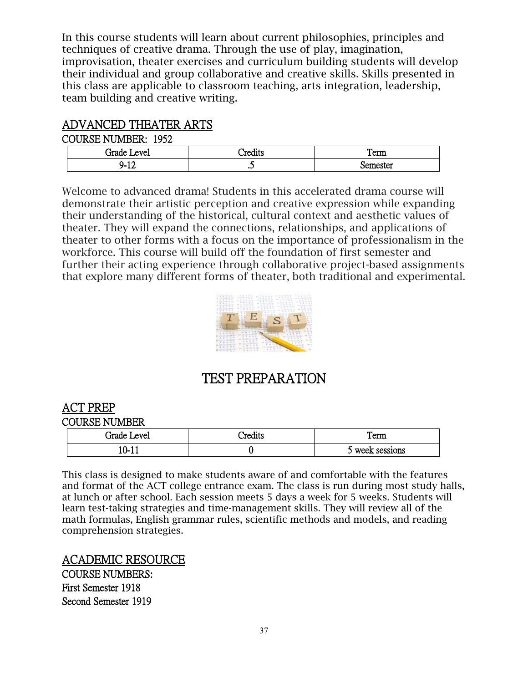In this course students will learn about current philosophies, principles and techniques of creative drama. Through the use of play, imagination, improvisation, theater exercises and curriculum building students will develop their individual and group collaborative and creative skills. Skills presented in this class are applicable to classroom teaching, arts integration, leadership, team building and creative writing.

## ADVANCED THEATER ARTS

#### COURSE NUMBER: 1952

| -<br>Grade<br>ATP<br>ᄼ | $\blacksquare$<br>ה היי<br>مس | П<br>1 erm    |
|------------------------|-------------------------------|---------------|
| $\sim$<br>∽-<br>--     |                               | 'Amactar<br>ຼ |

Welcome to advanced drama! Students in this accelerated drama course will demonstrate their artistic perception and creative expression while expanding their understanding of the historical, cultural context and aesthetic values of theater. They will expand the connections, relationships, and applications of theater to other forms with a focus on the importance of professionalism in the workforce. This course will build off the foundation of first semester and further their acting experience through collaborative project-based assignments that explore many different forms of theater, both traditional and experimental.



## TEST PREPARATION

## ACT PREP

COURSE NUMBER

| _irade J<br>Level | redits' | rerm                 |
|-------------------|---------|----------------------|
| 10-.<br>ᅶ         |         | week sessions<br>- - |

This class is designed to make students aware of and comfortable with the features and format of the ACT college entrance exam. The class is run during most study halls, at lunch or after school. Each session meets 5 days a week for 5 weeks. Students will learn test-taking strategies and time-management skills. They will review all of the math formulas, English grammar rules, scientific methods and models, and reading comprehension strategies.

## ACADEMIC RESOURCE

COURSE NUMBERS: First Semester 1918 Second Semester 1919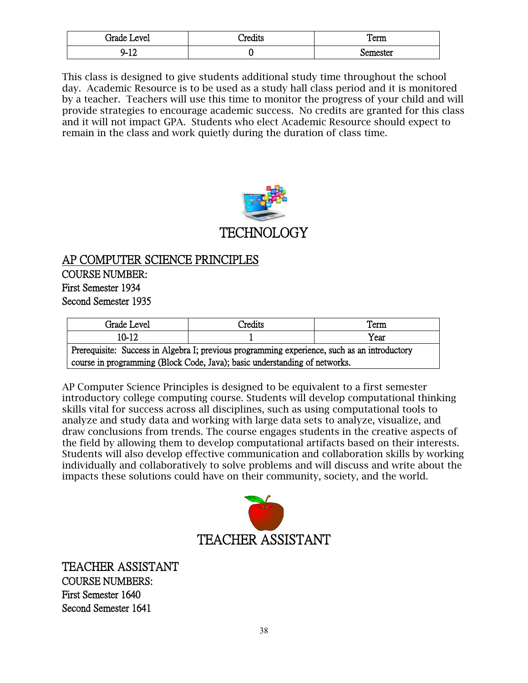| -<br>-<br>evel<br>irade.  | $\cdots$<br>'rodita<br>шь | Term    |
|---------------------------|---------------------------|---------|
| $\sim$<br>ч.<br><b>TT</b> |                           | emester |

This class is designed to give students additional study time throughout the school day. Academic Resource is to be used as a study hall class period and it is monitored by a teacher. Teachers will use this time to monitor the progress of your child and will provide strategies to encourage academic success. No credits are granted for this class and it will not impact GPA. Students who elect Academic Resource should expect to remain in the class and work quietly during the duration of class time.



AP COMPUTER SCIENCE PRINCIPLES COURSE NUMBER: First Semester 1934 Second Semester 1935

| Grade Level                                                                                  | Credits | Term |
|----------------------------------------------------------------------------------------------|---------|------|
| 10-12                                                                                        |         | Year |
| Prerequisite: Success in Algebra I; previous programming experience, such as an introductory |         |      |
| course in programming (Block Code, Java); basic understanding of networks.                   |         |      |

AP Computer Science Principles is designed to be equivalent to a first semester introductory college computing course. Students will develop computational thinking skills vital for success across all disciplines, such as using computational tools to analyze and study data and working with large data sets to analyze, visualize, and draw conclusions from trends. The course engages students in the creative aspects of the field by allowing them to develop computational artifacts based on their interests. Students will also develop effective communication and collaboration skills by working individually and collaboratively to solve problems and will discuss and write about the impacts these solutions could have on their community, society, and the world.



TEACHER ASSISTANT COURSE NUMBERS: First Semester 1640 Second Semester 1641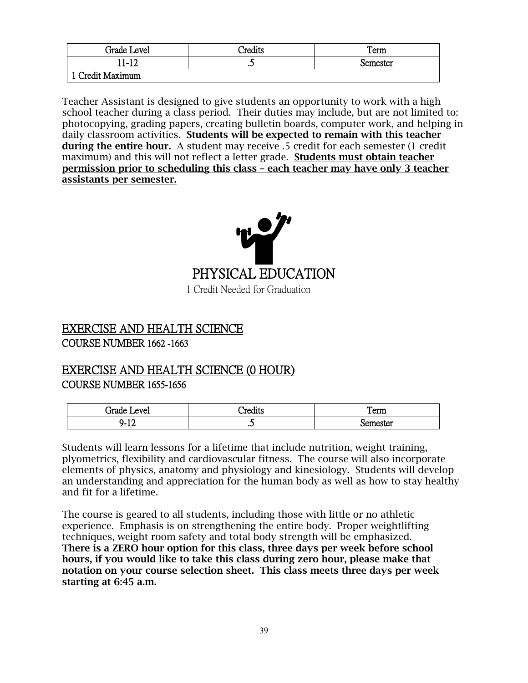| Grade Level      | <sup>-</sup> redits | Term     |
|------------------|---------------------|----------|
| $.1 - 12$        | سه                  | Semester |
| l Credit Maximum |                     |          |

Teacher Assistant is designed to give students an opportunity to work with a high school teacher during a class period. Their duties may include, but are not limited to: photocopying, grading papers, creating bulletin boards, computer work, and helping in daily classroom activities. Students will be expected to remain with this teacher during the entire hour. A student may receive .5 credit for each semester (1 credit maximum) and this will not reflect a letter grade. Students must obtain teacher permission prior to scheduling this class – each teacher may have only 3 teacher assistants per semester.



#### EXERCISE AND HEALTH SCIENCE COURSE NUMBER 1662 -1663

#### EXERCISE AND HEALTH SCIENCE (0 HOUR) COURSE NUMBER 1655-1656

| امصد<br>evel<br>Jidde i<br>∼ | red.<br>دىنىد | <b>COMMAND</b><br>TAITT     |
|------------------------------|---------------|-----------------------------|
| 10<br>⊣-<br>ᅩ                | $\cdot$       | emecter<br>.ner<br>÷<br>ww. |

Students will learn lessons for a lifetime that include nutrition, weight training, plyometrics, flexibility and cardiovascular fitness. The course will also incorporate elements of physics, anatomy and physiology and kinesiology. Students will develop an understanding and appreciation for the human body as well as how to stay healthy and fit for a lifetime.

The course is geared to all students, including those with little or no athletic experience. Emphasis is on strengthening the entire body. Proper weightlifting techniques, weight room safety and total body strength will be emphasized. There is a ZERO hour option for this class, three days per week before school hours, if you would like to take this class during zero hour, please make that notation on your course selection sheet. This class meets three days per week starting at 6:45 a.m.